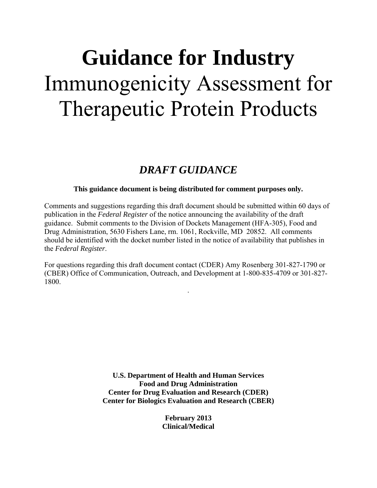# **Guidance for Industry**  Immunogenicity Assessment for Therapeutic Protein Products

# *DRAFT GUIDANCE*

# **This guidance document is being distributed for comment purposes only.**

Comments and suggestions regarding this draft document should be submitted within 60 days of publication in the *Federal Register* of the notice announcing the availability of the draft guidance. Submit comments to the Division of Dockets Management (HFA-305), Food and Drug Administration, 5630 Fishers Lane, rm. 1061, Rockville, MD 20852. All comments should be identified with the docket number listed in the notice of availability that publishes in the *Federal Register*.

For questions regarding this draft document contact (CDER) Amy Rosenberg 301-827-1790 or (CBER) Office of Communication, Outreach, and Development at 1-800-835-4709 or 301-827- 1800.

.

**U.S. Department of Health and Human Services Food and Drug Administration Center for Drug Evaluation and Research (CDER) Center for Biologics Evaluation and Research (CBER)** 

> **February 2013 Clinical/Medical**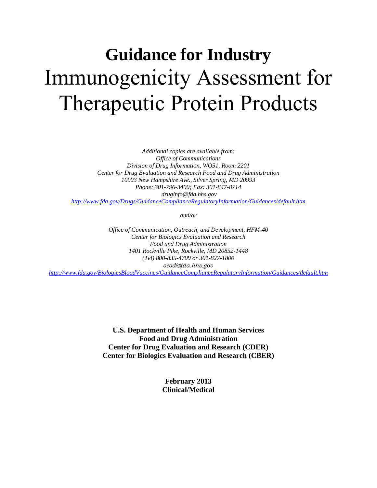# **Guidance for Industry**  Immunogenicity Assessment for Therapeutic Protein Products

*Additional copies are available from: Office of Communications Division of Drug Information, WO51, Room 2201 Center for Drug Evaluation and Research Food and Drug Administration 10903 New Hampshire Ave., Silver Spring, MD 20993 Phone: 301-796-3400; Fax: 301-847-8714 druginfo@fda.hhs.gov http://www.fda.gov/Drugs/GuidanceComplianceRegulatoryInformation/Guidances/default.htm* 

*and/or* 

*Office of Communication, Outreach, and Development, HFM-40 Center for Biologics Evaluation and Research Food and Drug Administration 1401 Rockville Pike, Rockville, MD 20852-1448 (Tel) 800-835-4709 or 301-827-1800 ocod@fda.hhs.gov http://www.fda.gov/BiologicsBloodVaccines/GuidanceComplianceRegulatoryInformation/Guidances/default.htm* 

> **U.S. Department of Health and Human Services Food and Drug Administration Center for Drug Evaluation and Research (CDER) Center for Biologics Evaluation and Research (CBER)**

> > **February 2013 Clinical/Medical**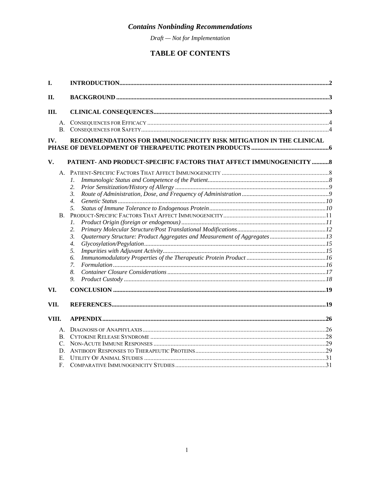$Draft - Not for\ Implementation$ 

# **TABLE OF CONTENTS**

| I.    |                                                         |                                                                                                                                                                                                        |  |  |
|-------|---------------------------------------------------------|--------------------------------------------------------------------------------------------------------------------------------------------------------------------------------------------------------|--|--|
| П.    |                                                         |                                                                                                                                                                                                        |  |  |
| Ш.    |                                                         |                                                                                                                                                                                                        |  |  |
|       | $A_{-}$<br><sub>B</sub>                                 |                                                                                                                                                                                                        |  |  |
| IV.   |                                                         | RECOMMENDATIONS FOR IMMUNOGENICITY RISK MITIGATION IN THE CLINICAL                                                                                                                                     |  |  |
| V.    |                                                         | PATIENT- AND PRODUCT-SPECIFIC FACTORS THAT AFFECT IMMUNOGENICITY  8                                                                                                                                    |  |  |
|       | B.                                                      | 1.<br>2.<br>$\mathfrak{Z}$ .<br>$\overline{4}$ .<br>5.<br>1.<br>2.<br>$\mathfrak{Z}$ .<br>Quaternary Structure: Product Aggregates and Measurement of Aggregates13<br>4.<br>5.<br>6.<br>7.<br>8.<br>9. |  |  |
| VI.   |                                                         |                                                                                                                                                                                                        |  |  |
| VII.  |                                                         |                                                                                                                                                                                                        |  |  |
| VIII. |                                                         |                                                                                                                                                                                                        |  |  |
|       | $\mathsf{A}$<br><sub>B</sub><br>D.<br>E.<br>$F_{\cdot}$ |                                                                                                                                                                                                        |  |  |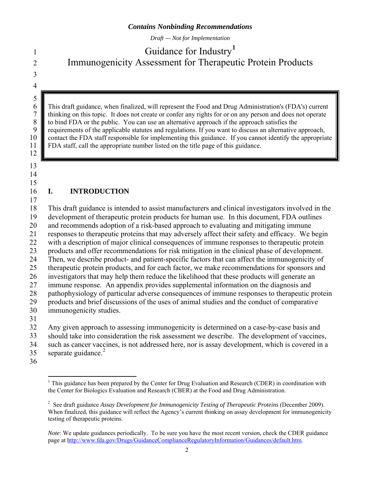*Draft — Not for Implementation* 

Guidance for Industry**[1](#page-3-1)** <sup>1</sup> Immunogenicity Assessment for Therapeutic Protein Products

6 This draft guidance, when finalized, will represent the Food and Drug Administration's (FDA's) current thinking on this topic. It does not create or confer any rights for or on any person and does not operate 7 thinking on this topic. It does not create or confer any rights for or on any person and does not operate to bind FDA or the public. You can use an alternative approach if the approach satisfies the 8 to bind FDA or the public. You can use an alternative approach if the approach satisfies the requirements of the applicable statutes and regulations. If you want to discuss an alternative requirements of the applicable statutes and regulations. If you want to discuss an alternative approach, 10 contact the FDA staff responsible for implementing this guidance. If you cannot identify the appropriate 11 FDA staff, call the appropriate number listed on the title page of this guidance.

13 14

12

2 3 4

5

### <span id="page-3-0"></span>15 16

17

# **I. INTRODUCTION**

18 19 20 21 22 23 24 25 26 27 28 29 30 31 32 This draft guidance is intended to assist manufacturers and clinical investigators involved in the development of therapeutic protein products for human use. In this document, FDA outlines and recommends adoption of a risk-based approach to evaluating and mitigating immune responses to therapeutic proteins that may adversely affect their safety and efficacy. We begin with a description of major clinical consequences of immune responses to therapeutic protein products and offer recommendations for risk mitigation in the clinical phase of development. Then, we describe product- and patient-specific factors that can affect the immunogenicity of therapeutic protein products, and for each factor, we make recommendations for sponsors and investigators that may help them reduce the likelihood that these products will generate an immune response. An appendix provides supplemental information on the diagnosis and pathophysiology of particular adverse consequences of immune responses to therapeutic protein products and brief discussions of the uses of animal studies and the conduct of comparative immunogenicity studies.

33 Any given approach to assessing immunogenicity is determined on a case-by-case basis and should take into consideration the risk assessment we describe. The development of vaccines,

34 such as cancer vaccines, is not addressed here, nor is assay development, which is covered in a

- 35 separate guidance. $2$
- <span id="page-3-1"></span>36

 $\overline{a}$ 

<sup>&</sup>lt;sup>1</sup> This guidance has been prepared by the Center for Drug Evaluation and Research (CDER) in coordination with the Center for Biologics Evaluation and Research (CBER) at the Food and Drug Administration.

<span id="page-3-2"></span><sup>2</sup> See draft guidance *Assay Development for Immunogenicity Testing of Therapeutic Proteins* (December 2009). When finalized, this guidance will reflect the Agency's current thinking on assay development for immunogenicity testing of therapeutic proteins.

*Note*: We update guidances periodically. To be sure you have the most recent version, check the CDER guidance page at [http://www.fda.gov/Drugs/GuidanceComplianceRegulatoryInformation/Guidances/default.htm.](http://www.fda.gov/Drugs/GuidanceComplianceRegulatoryInformation/Guidances/default.htm)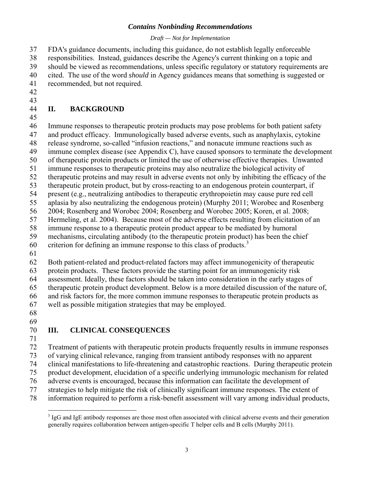### *Draft — Not for Implementation*

FDA's guidance documents, including this guidance, do not establish legally enforceable responsibilities. Instead, guidances describe the Agency's current thinking on a topic and should be viewed as recommendations, unless specific regulatory or statutory requirements are cited. The use of the word *should* in Agency guidances means that something is suggested or recommended, but not required. 37 38 39 40 41

42 43

# <span id="page-4-0"></span>44 **II. BACKGROUND**

45

46 47 48 49 50 51 52 53 54 55 56 57 58 59 60 Immune responses to therapeutic protein products may pose problems for both patient safety and product efficacy. Immunologically based adverse events, such as anaphylaxis, cytokine release syndrome, so-called "infusion reactions," and nonacute immune reactions such as immune complex disease (see Appendix C), have caused sponsors to terminate the development of therapeutic protein products or limited the use of otherwise effective therapies. Unwanted immune responses to therapeutic proteins may also neutralize the biological activity of therapeutic proteins and may result in adverse events not only by inhibiting the efficacy of the therapeutic protein product, but by cross-reacting to an endogenous protein counterpart, if present (e.g., neutralizing antibodies to therapeutic erythropoietin may cause pure red cell aplasia by also neutralizing the endogenous protein) (Murphy 2011; Worobec and Rosenberg 2004; Rosenberg and Worobec 2004; Rosenberg and Worobec 2005; Koren, et al. 2008; Hermeling, et al. 2004). Because most of the adverse effects resulting from elicitation of an immune response to a therapeutic protein product appear to be mediated by humoral mechanisms, circulating antibody (to the therapeutic protein product) has been the chief criterion for defining an immune response to this class of products.<sup>[3](#page-4-2)</sup>

61

62 Both patient-related and product-related factors may affect immunogenicity of therapeutic

63 64 65 66 67 protein products. These factors provide the starting point for an immunogenicity risk assessment. Ideally, these factors should be taken into consideration in the early stages of therapeutic protein product development. Below is a more detailed discussion of the nature of, and risk factors for, the more common immune responses to therapeutic protein products as well as possible mitigation strategies that may be employed.

- 68
- 69

#### <span id="page-4-1"></span>70 **III. CLINICAL CONSEQUENCES**

71

<u>.</u>

72 73 74 75 76 77 Treatment of patients with therapeutic protein products frequently results in immune responses of varying clinical relevance, ranging from transient antibody responses with no apparent clinical manifestations to life-threatening and catastrophic reactions. During therapeutic protein product development, elucidation of a specific underlying immunologic mechanism for related adverse events is encouraged, because this information can facilitate the development of strategies to help mitigate the risk of clinically significant immune responses. The extent of

<span id="page-4-2"></span>78 information required to perform a risk-benefit assessment will vary among individual products,

 $3$  IgG and IgE antibody responses are those most often associated with clinical adverse events and their generation generally requires collaboration between antigen-specific T helper cells and B cells (Murphy 2011).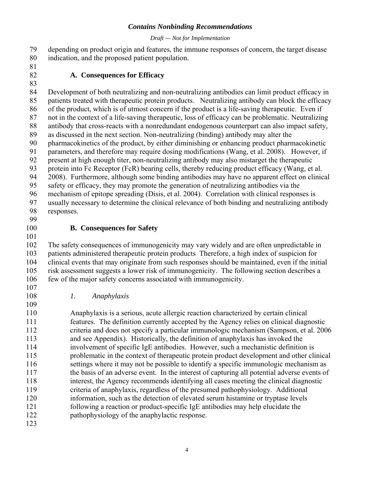### *Draft — Not for Implementation*

- depending on product origin and features, the immune responses of concern, the target disease indication, and the proposed patient population. 79 80
- <span id="page-5-0"></span>81 82

# **A. Consequences for Efficacy**

- 83 84 85 86 87 88 89 90 91 92 93 94 95 96 97 98 Development of both neutralizing and non-neutralizing antibodies can limit product efficacy in patients treated with therapeutic protein products. Neutralizing antibody can block the efficacy of the product, which is of utmost concern if the product is a life-saving therapeutic. Even if not in the context of a life-saving therapeutic, loss of efficacy can be problematic. Neutralizing antibody that cross-reacts with a nonredundant endogenous counterpart can also impact safety, as discussed in the next section. Non-neutralizing (binding) antibody may alter the pharmacokinetics of the product, by either diminishing or enhancing product pharmacokinetic parameters, and therefore may require dosing modifications (Wang, et al. 2008). However, if present at high enough titer, non-neutralizing antibody may also mistarget the therapeutic protein into Fc Receptor (FcR) bearing cells, thereby reducing product efficacy (Wang, et al. 2008). Furthermore, although some binding antibodies may have no apparent effect on clinical safety or efficacy, they may promote the generation of neutralizing antibodies via the mechanism of epitope spreading (Disis, et al. 2004). Correlation with clinical responses is usually necessary to determine the clinical relevance of both binding and neutralizing antibody responses.
- <span id="page-5-1"></span>99 100

101

# **B. Consequences for Safety**

102 103 104 105 106 The safety consequences of immunogenicity may vary widely and are often unpredictable in patients administered therapeutic protein products Therefore, a high index of suspicion for clinical events that may originate from such responses should be maintained, even if the initial risk assessment suggests a lower risk of immunogenicity. The following section describes a few of the major safety concerns associated with immunogenicity.

107 108

109

# *1. Anaphylaxis*

110 111 112 113 114 115 116 117 118 119 120 121 122 123 Anaphylaxis is a serious, acute allergic reaction characterized by certain clinical features. The definition currently accepted by the Agency relies on clinical diagnostic criteria and does not specify a particular immunologic mechanism (Sampson, et al. 2006 and see Appendix). Historically, the definition of anaphylaxis has invoked the involvement of specific IgE antibodies. However, such a mechanistic definition is problematic in the context of therapeutic protein product development and other clinical settings where it may not be possible to identify a specific immunologic mechanism as the basis of an adverse event. In the interest of capturing all potential adverse events of interest, the Agency recommends identifying all cases meeting the clinical diagnostic criteria of anaphylaxis, regardless of the presumed pathophysiology. Additional information, such as the detection of elevated serum histamine or tryptase levels following a reaction or product-specific IgE antibodies may help elucidate the pathophysiology of the anaphylactic response.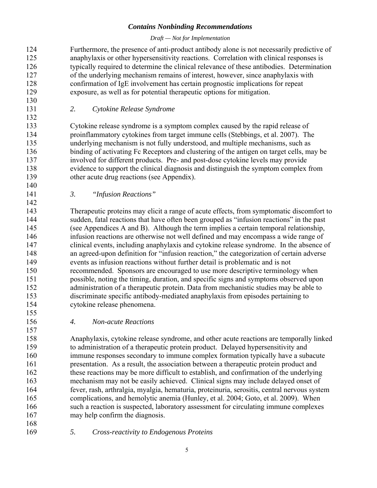### *Draft — Not for Implementation*

124 125 126 127 128 129 Furthermore, the presence of anti-product antibody alone is not necessarily predictive of anaphylaxis or other hypersensitivity reactions. Correlation with clinical responses is typically required to determine the clinical relevance of these antibodies. Determination of the underlying mechanism remains of interest, however, since anaphylaxis with confirmation of IgE involvement has certain prognostic implications for repeat exposure, as well as for potential therapeutic options for mitigation.

130 131 132

142

155

*2. Cytokine Release Syndrome* 

Cytokine release syndrome is a symptom complex caused by the rapid release of proinflammatory cytokines from target immune cells (Stebbings, et al. 2007). The underlying mechanism is not fully understood, and multiple mechanisms, such as binding of activating Fc Receptors and clustering of the antigen on target cells, may be involved for different products. Pre- and post-dose cytokine levels may provide evidence to support the clinical diagnosis and distinguish the symptom complex from other acute drug reactions (see Appendix).

140 141 *3. "Infusion Reactions"* 

143 144 145 146 147 148 149 150 151 152 153 154 Therapeutic proteins may elicit a range of acute effects, from symptomatic discomfort to sudden, fatal reactions that have often been grouped as "infusion reactions" in the past (see Appendices A and B). Although the term implies a certain temporal relationship, infusion reactions are otherwise not well defined and may encompass a wide range of clinical events, including anaphylaxis and cytokine release syndrome. In the absence of an agreed-upon definition for "infusion reaction," the categorization of certain adverse events as infusion reactions without further detail is problematic and is not recommended. Sponsors are encouraged to use more descriptive terminology when possible, noting the timing, duration, and specific signs and symptoms observed upon administration of a therapeutic protein. Data from mechanistic studies may be able to discriminate specific antibody-mediated anaphylaxis from episodes pertaining to cytokine release phenomena.

156 *4. Non-acute Reactions* 

> Anaphylaxis, cytokine release syndrome, and other acute reactions are temporally linked to administration of a therapeutic protein product. Delayed hypersensitivity and immune responses secondary to immune complex formation typically have a subacute presentation. As a result, the association between a therapeutic protein product and these reactions may be more difficult to establish, and confirmation of the underlying mechanism may not be easily achieved. Clinical signs may include delayed onset of fever, rash, arthralgia, myalgia, hematuria, proteinuria, serositis, central nervous system complications, and hemolytic anemia (Hunley, et al. 2004; Goto, et al. 2009). When such a reaction is suspected, laboratory assessment for circulating immune complexes may help confirm the diagnosis.

- 167 168 169
- *5. Cross-reactivity to Endogenous Proteins*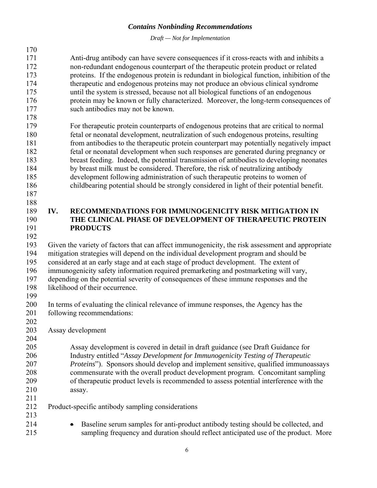*Draft — Not for Implementation* 

171 172 173 174 175 176 177 Anti-drug antibody can have severe consequences if it cross-reacts with and inhibits a non-redundant endogenous counterpart of the therapeutic protein product or related proteins. If the endogenous protein is redundant in biological function, inhibition of the therapeutic and endogenous proteins may not produce an obvious clinical syndrome until the system is stressed, because not all biological functions of an endogenous protein may be known or fully characterized. Moreover, the long-term consequences of such antibodies may not be known.

179 180 181 182 183 184 185 186 For therapeutic protein counterparts of endogenous proteins that are critical to normal fetal or neonatal development, neutralization of such endogenous proteins, resulting from antibodies to the therapeutic protein counterpart may potentially negatively impact fetal or neonatal development when such responses are generated during pregnancy or breast feeding. Indeed, the potential transmission of antibodies to developing neonates by breast milk must be considered. Therefore, the risk of neutralizing antibody development following administration of such therapeutic proteins to women of childbearing potential should be strongly considered in light of their potential benefit.

187 188

170

178

#### <span id="page-7-0"></span>189 190 191 **IV. RECOMMENDATIONS FOR IMMUNOGENICITY RISK MITIGATION IN THE CLINICAL PHASE OF DEVELOPMENT OF THERAPEUTIC PROTEIN PRODUCTS**

192

193 194 195 Given the variety of factors that can affect immunogenicity, the risk assessment and appropriate mitigation strategies will depend on the individual development program and should be considered at an early stage and at each stage of product development. The extent of

196 197 immunogenicity safety information required premarketing and postmarketing will vary, depending on the potential severity of consequences of these immune responses and the

- 198 likelihood of their occurrence.
- 199

200 201 In terms of evaluating the clinical relevance of immune responses, the Agency has the following recommendations:

202

203 Assay development

204 205

213

206 207 208 209 210 211 Assay development is covered in detail in draft guidance (see Draft Guidance for Industry entitled "*Assay Development for Immunogenicity Testing of Therapeutic Proteins*"). Sponsors should develop and implement sensitive, qualified immunoassays commensurate with the overall product development program. Concomitant sampling of therapeutic product levels is recommended to assess potential interference with the assay.

- 212 Product-specific antibody sampling considerations
- 214 215 Baseline serum samples for anti-product antibody testing should be collected, and sampling frequency and duration should reflect anticipated use of the product. More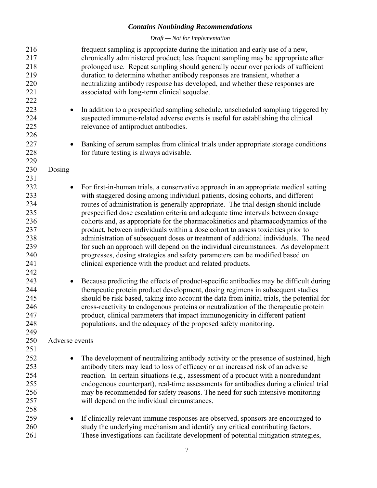| 216<br>217<br>218<br>219<br>220<br>221<br>222                                                                              |                | frequent sampling is appropriate during the initiation and early use of a new,<br>chronically administered product; less frequent sampling may be appropriate after<br>prolonged use. Repeat sampling should generally occur over periods of sufficient<br>duration to determine whether antibody responses are transient, whether a<br>neutralizing antibody response has developed, and whether these responses are<br>associated with long-term clinical sequelae.                                                                                                                                                                                                                                                                                                                                                                                                                                                                                                                                                                                                                                                                                                                                                                                                                                                                                                |
|----------------------------------------------------------------------------------------------------------------------------|----------------|----------------------------------------------------------------------------------------------------------------------------------------------------------------------------------------------------------------------------------------------------------------------------------------------------------------------------------------------------------------------------------------------------------------------------------------------------------------------------------------------------------------------------------------------------------------------------------------------------------------------------------------------------------------------------------------------------------------------------------------------------------------------------------------------------------------------------------------------------------------------------------------------------------------------------------------------------------------------------------------------------------------------------------------------------------------------------------------------------------------------------------------------------------------------------------------------------------------------------------------------------------------------------------------------------------------------------------------------------------------------|
| 223<br>224<br>225<br>226                                                                                                   | $\bullet$      | In addition to a prespecified sampling schedule, unscheduled sampling triggered by<br>suspected immune-related adverse events is useful for establishing the clinical<br>relevance of antiproduct antibodies.                                                                                                                                                                                                                                                                                                                                                                                                                                                                                                                                                                                                                                                                                                                                                                                                                                                                                                                                                                                                                                                                                                                                                        |
| 227<br>228<br>229                                                                                                          | $\bullet$      | Banking of serum samples from clinical trials under appropriate storage conditions<br>for future testing is always advisable.                                                                                                                                                                                                                                                                                                                                                                                                                                                                                                                                                                                                                                                                                                                                                                                                                                                                                                                                                                                                                                                                                                                                                                                                                                        |
| 230<br>231                                                                                                                 | Dosing         |                                                                                                                                                                                                                                                                                                                                                                                                                                                                                                                                                                                                                                                                                                                                                                                                                                                                                                                                                                                                                                                                                                                                                                                                                                                                                                                                                                      |
| 232<br>233<br>234<br>235<br>236<br>237<br>238<br>239<br>240<br>241<br>242<br>243<br>244<br>245<br>246<br>247<br>248<br>249 | $\bullet$      | For first-in-human trials, a conservative approach in an appropriate medical setting<br>with staggered dosing among individual patients, dosing cohorts, and different<br>routes of administration is generally appropriate. The trial design should include<br>prespecified dose escalation criteria and adequate time intervals between dosage<br>cohorts and, as appropriate for the pharmacokinetics and pharmacodynamics of the<br>product, between individuals within a dose cohort to assess toxicities prior to<br>administration of subsequent doses or treatment of additional individuals. The need<br>for such an approach will depend on the individual circumstances. As development<br>progresses, dosing strategies and safety parameters can be modified based on<br>clinical experience with the product and related products.<br>Because predicting the effects of product-specific antibodies may be difficult during<br>therapeutic protein product development, dosing regimens in subsequent studies<br>should be risk based, taking into account the data from initial trials, the potential for<br>cross-reactivity to endogenous proteins or neutralization of the therapeutic protein<br>product, clinical parameters that impact immunogenicity in different patient<br>populations, and the adequacy of the proposed safety monitoring. |
| 250                                                                                                                        | Adverse events |                                                                                                                                                                                                                                                                                                                                                                                                                                                                                                                                                                                                                                                                                                                                                                                                                                                                                                                                                                                                                                                                                                                                                                                                                                                                                                                                                                      |
| 251<br>252<br>253<br>254<br>255<br>256<br>257<br>258                                                                       |                | The development of neutralizing antibody activity or the presence of sustained, high<br>antibody titers may lead to loss of efficacy or an increased risk of an adverse<br>reaction. In certain situations (e.g., assessment of a product with a nonredundant<br>endogenous counterpart), real-time assessments for antibodies during a clinical trial<br>may be recommended for safety reasons. The need for such intensive monitoring<br>will depend on the individual circumstances.                                                                                                                                                                                                                                                                                                                                                                                                                                                                                                                                                                                                                                                                                                                                                                                                                                                                              |
| 259<br>260<br>261                                                                                                          | $\bullet$      | If clinically relevant immune responses are observed, sponsors are encouraged to<br>study the underlying mechanism and identify any critical contributing factors.<br>These investigations can facilitate development of potential mitigation strategies,                                                                                                                                                                                                                                                                                                                                                                                                                                                                                                                                                                                                                                                                                                                                                                                                                                                                                                                                                                                                                                                                                                            |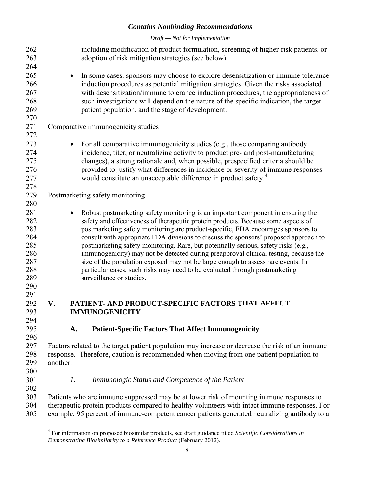| 262<br>263<br>264                                                  |                                                                                               | including modification of product formulation, screening of higher-risk patients, or<br>adoption of risk mitigation strategies (see below).                                                                                                                                                                                                                                                                                                                                                                                                                                                                                                                                                                                     |  |
|--------------------------------------------------------------------|-----------------------------------------------------------------------------------------------|---------------------------------------------------------------------------------------------------------------------------------------------------------------------------------------------------------------------------------------------------------------------------------------------------------------------------------------------------------------------------------------------------------------------------------------------------------------------------------------------------------------------------------------------------------------------------------------------------------------------------------------------------------------------------------------------------------------------------------|--|
| 265<br>266<br>267<br>268<br>269                                    | $\bullet$                                                                                     | In some cases, sponsors may choose to explore desensitization or immune tolerance<br>induction procedures as potential mitigation strategies. Given the risks associated<br>with desensitization/immune tolerance induction procedures, the appropriateness of<br>such investigations will depend on the nature of the specific indication, the target<br>patient population, and the stage of development.                                                                                                                                                                                                                                                                                                                     |  |
| 270<br>271<br>272                                                  |                                                                                               | Comparative immunogenicity studies                                                                                                                                                                                                                                                                                                                                                                                                                                                                                                                                                                                                                                                                                              |  |
| 273<br>274<br>275<br>276<br>277<br>278                             |                                                                                               | For all comparative immunogenicity studies (e.g., those comparing antibody<br>incidence, titer, or neutralizing activity to product pre- and post-manufacturing<br>changes), a strong rationale and, when possible, prespecified criteria should be<br>provided to justify what differences in incidence or severity of immune responses<br>would constitute an unacceptable difference in product safety. <sup>4</sup>                                                                                                                                                                                                                                                                                                         |  |
| 279<br>280                                                         | Postmarketing safety monitoring                                                               |                                                                                                                                                                                                                                                                                                                                                                                                                                                                                                                                                                                                                                                                                                                                 |  |
| 281<br>282<br>283<br>284<br>285<br>286<br>287<br>288<br>289<br>290 |                                                                                               | Robust postmarketing safety monitoring is an important component in ensuring the<br>safety and effectiveness of therapeutic protein products. Because some aspects of<br>postmarketing safety monitoring are product-specific, FDA encourages sponsors to<br>consult with appropriate FDA divisions to discuss the sponsors' proposed approach to<br>postmarketing safety monitoring. Rare, but potentially serious, safety risks (e.g.,<br>immunogenicity) may not be detected during preapproval clinical testing, because the<br>size of the population exposed may not be large enough to assess rare events. In<br>particular cases, such risks may need to be evaluated through postmarketing<br>surveillance or studies. |  |
| 291<br>292                                                         | V.                                                                                            | PATIENT- AND PRODUCT-SPECIFIC FACTORS THAT AFFECT                                                                                                                                                                                                                                                                                                                                                                                                                                                                                                                                                                                                                                                                               |  |
| 293                                                                |                                                                                               | <b>IMMUNOGENICITY</b>                                                                                                                                                                                                                                                                                                                                                                                                                                                                                                                                                                                                                                                                                                           |  |
| 294<br>295<br>296                                                  | A.                                                                                            | <b>Patient-Specific Factors That Affect Immunogenicity</b>                                                                                                                                                                                                                                                                                                                                                                                                                                                                                                                                                                                                                                                                      |  |
| 297<br>298<br>299<br>300                                           | another.                                                                                      | Factors related to the target patient population may increase or decrease the risk of an immune<br>response. Therefore, caution is recommended when moving from one patient population to                                                                                                                                                                                                                                                                                                                                                                                                                                                                                                                                       |  |
| 301<br>302                                                         | $\mathfrak{1}.$                                                                               | Immunologic Status and Competence of the Patient                                                                                                                                                                                                                                                                                                                                                                                                                                                                                                                                                                                                                                                                                |  |
| 303                                                                |                                                                                               | Patients who are immune suppressed may be at lower risk of mounting immune responses to                                                                                                                                                                                                                                                                                                                                                                                                                                                                                                                                                                                                                                         |  |
| 304                                                                | therapeutic protein products compared to healthy volunteers with intact immune responses. For |                                                                                                                                                                                                                                                                                                                                                                                                                                                                                                                                                                                                                                                                                                                                 |  |
| 305                                                                |                                                                                               | example, 95 percent of immune-competent cancer patients generated neutralizing antibody to a                                                                                                                                                                                                                                                                                                                                                                                                                                                                                                                                                                                                                                    |  |

<span id="page-9-3"></span><span id="page-9-2"></span><span id="page-9-1"></span><span id="page-9-0"></span> 4 For information on proposed biosimilar products, see draft guidance titled *Scientific Considerations in Demonstrating Biosimilarity to a Reference Product* (February 2012).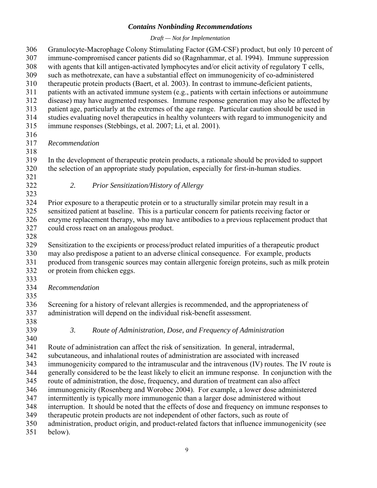<span id="page-10-1"></span><span id="page-10-0"></span>

| 306<br>307<br>308<br>309<br>310<br>311<br>312<br>313<br>314<br>315 | Granulocyte-Macrophage Colony Stimulating Factor (GM-CSF) product, but only 10 percent of<br>immune-compromised cancer patients did so (Ragnhammar, et al. 1994). Immune suppression<br>with agents that kill antigen-activated lymphocytes and/or elicit activity of regulatory T cells,<br>such as methotrexate, can have a substantial effect on immunogenicity of co-administered<br>therapeutic protein products (Baert, et al. 2003). In contrast to immune-deficient patients,<br>patients with an activated immune system (e.g., patients with certain infections or autoimmune<br>disease) may have augmented responses. Immune response generation may also be affected by<br>patient age, particularly at the extremes of the age range. Particular caution should be used in<br>studies evaluating novel therapeutics in healthy volunteers with regard to immunogenicity and<br>immune responses (Stebbings, et al. 2007; Li, et al. 2001). |  |  |
|--------------------------------------------------------------------|----------------------------------------------------------------------------------------------------------------------------------------------------------------------------------------------------------------------------------------------------------------------------------------------------------------------------------------------------------------------------------------------------------------------------------------------------------------------------------------------------------------------------------------------------------------------------------------------------------------------------------------------------------------------------------------------------------------------------------------------------------------------------------------------------------------------------------------------------------------------------------------------------------------------------------------------------------|--|--|
| 316                                                                |                                                                                                                                                                                                                                                                                                                                                                                                                                                                                                                                                                                                                                                                                                                                                                                                                                                                                                                                                          |  |  |
| 317                                                                | Recommendation                                                                                                                                                                                                                                                                                                                                                                                                                                                                                                                                                                                                                                                                                                                                                                                                                                                                                                                                           |  |  |
| 318                                                                |                                                                                                                                                                                                                                                                                                                                                                                                                                                                                                                                                                                                                                                                                                                                                                                                                                                                                                                                                          |  |  |
| 319                                                                | In the development of therapeutic protein products, a rationale should be provided to support                                                                                                                                                                                                                                                                                                                                                                                                                                                                                                                                                                                                                                                                                                                                                                                                                                                            |  |  |
| 320                                                                | the selection of an appropriate study population, especially for first-in-human studies.                                                                                                                                                                                                                                                                                                                                                                                                                                                                                                                                                                                                                                                                                                                                                                                                                                                                 |  |  |
| 321                                                                |                                                                                                                                                                                                                                                                                                                                                                                                                                                                                                                                                                                                                                                                                                                                                                                                                                                                                                                                                          |  |  |
| 322                                                                | 2.<br>Prior Sensitization/History of Allergy                                                                                                                                                                                                                                                                                                                                                                                                                                                                                                                                                                                                                                                                                                                                                                                                                                                                                                             |  |  |
| 323                                                                |                                                                                                                                                                                                                                                                                                                                                                                                                                                                                                                                                                                                                                                                                                                                                                                                                                                                                                                                                          |  |  |
| 324                                                                | Prior exposure to a therapeutic protein or to a structurally similar protein may result in a                                                                                                                                                                                                                                                                                                                                                                                                                                                                                                                                                                                                                                                                                                                                                                                                                                                             |  |  |
| 325                                                                | sensitized patient at baseline. This is a particular concern for patients receiving factor or                                                                                                                                                                                                                                                                                                                                                                                                                                                                                                                                                                                                                                                                                                                                                                                                                                                            |  |  |
| 326                                                                | enzyme replacement therapy, who may have antibodies to a previous replacement product that                                                                                                                                                                                                                                                                                                                                                                                                                                                                                                                                                                                                                                                                                                                                                                                                                                                               |  |  |
| 327                                                                | could cross react on an analogous product.                                                                                                                                                                                                                                                                                                                                                                                                                                                                                                                                                                                                                                                                                                                                                                                                                                                                                                               |  |  |
| 328                                                                |                                                                                                                                                                                                                                                                                                                                                                                                                                                                                                                                                                                                                                                                                                                                                                                                                                                                                                                                                          |  |  |
| 329<br>330                                                         | Sensitization to the excipients or process/product related impurities of a therapeutic product                                                                                                                                                                                                                                                                                                                                                                                                                                                                                                                                                                                                                                                                                                                                                                                                                                                           |  |  |
| 331                                                                | may also predispose a patient to an adverse clinical consequence. For example, products<br>produced from transgenic sources may contain allergenic foreign proteins, such as milk protein                                                                                                                                                                                                                                                                                                                                                                                                                                                                                                                                                                                                                                                                                                                                                                |  |  |
| 332                                                                | or protein from chicken eggs.                                                                                                                                                                                                                                                                                                                                                                                                                                                                                                                                                                                                                                                                                                                                                                                                                                                                                                                            |  |  |
| 333                                                                |                                                                                                                                                                                                                                                                                                                                                                                                                                                                                                                                                                                                                                                                                                                                                                                                                                                                                                                                                          |  |  |
| 334                                                                | Recommendation                                                                                                                                                                                                                                                                                                                                                                                                                                                                                                                                                                                                                                                                                                                                                                                                                                                                                                                                           |  |  |
| 335                                                                |                                                                                                                                                                                                                                                                                                                                                                                                                                                                                                                                                                                                                                                                                                                                                                                                                                                                                                                                                          |  |  |
| 336                                                                | Screening for a history of relevant allergies is recommended, and the appropriateness of                                                                                                                                                                                                                                                                                                                                                                                                                                                                                                                                                                                                                                                                                                                                                                                                                                                                 |  |  |
| 337                                                                | administration will depend on the individual risk-benefit assessment.                                                                                                                                                                                                                                                                                                                                                                                                                                                                                                                                                                                                                                                                                                                                                                                                                                                                                    |  |  |
| 338                                                                |                                                                                                                                                                                                                                                                                                                                                                                                                                                                                                                                                                                                                                                                                                                                                                                                                                                                                                                                                          |  |  |
| 339                                                                | 3.<br>Route of Administration, Dose, and Frequency of Administration                                                                                                                                                                                                                                                                                                                                                                                                                                                                                                                                                                                                                                                                                                                                                                                                                                                                                     |  |  |
| 340                                                                |                                                                                                                                                                                                                                                                                                                                                                                                                                                                                                                                                                                                                                                                                                                                                                                                                                                                                                                                                          |  |  |
| 341                                                                | Route of administration can affect the risk of sensitization. In general, intradermal,                                                                                                                                                                                                                                                                                                                                                                                                                                                                                                                                                                                                                                                                                                                                                                                                                                                                   |  |  |
| 342                                                                | subcutaneous, and inhalational routes of administration are associated with increased                                                                                                                                                                                                                                                                                                                                                                                                                                                                                                                                                                                                                                                                                                                                                                                                                                                                    |  |  |
| 343                                                                | immunogenicity compared to the intramuscular and the intravenous (IV) routes. The IV route is                                                                                                                                                                                                                                                                                                                                                                                                                                                                                                                                                                                                                                                                                                                                                                                                                                                            |  |  |
| 344                                                                | generally considered to be the least likely to elicit an immune response. In conjunction with the                                                                                                                                                                                                                                                                                                                                                                                                                                                                                                                                                                                                                                                                                                                                                                                                                                                        |  |  |
| 345                                                                | route of administration, the dose, frequency, and duration of treatment can also affect                                                                                                                                                                                                                                                                                                                                                                                                                                                                                                                                                                                                                                                                                                                                                                                                                                                                  |  |  |
| 346                                                                | immunogenicity (Rosenberg and Worobec 2004). For example, a lower dose administered                                                                                                                                                                                                                                                                                                                                                                                                                                                                                                                                                                                                                                                                                                                                                                                                                                                                      |  |  |
| 347                                                                | intermittently is typically more immunogenic than a larger dose administered without                                                                                                                                                                                                                                                                                                                                                                                                                                                                                                                                                                                                                                                                                                                                                                                                                                                                     |  |  |
| 348                                                                | interruption. It should be noted that the effects of dose and frequency on immune responses to                                                                                                                                                                                                                                                                                                                                                                                                                                                                                                                                                                                                                                                                                                                                                                                                                                                           |  |  |
| 349                                                                | therapeutic protein products are not independent of other factors, such as route of                                                                                                                                                                                                                                                                                                                                                                                                                                                                                                                                                                                                                                                                                                                                                                                                                                                                      |  |  |
| 350                                                                | administration, product origin, and product-related factors that influence immunogenicity (see                                                                                                                                                                                                                                                                                                                                                                                                                                                                                                                                                                                                                                                                                                                                                                                                                                                           |  |  |
| 351                                                                | below).                                                                                                                                                                                                                                                                                                                                                                                                                                                                                                                                                                                                                                                                                                                                                                                                                                                                                                                                                  |  |  |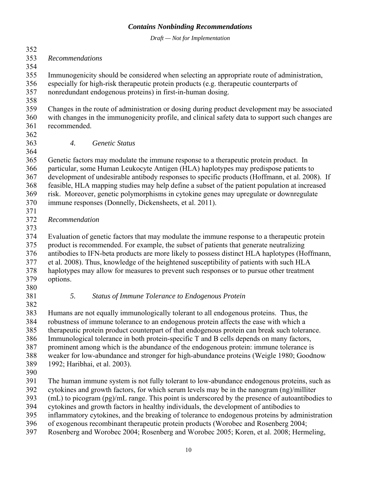*Draft — Not for Implementation* 

<span id="page-11-0"></span>

| 352        |                                                                                                                                                                                  |  |  |
|------------|----------------------------------------------------------------------------------------------------------------------------------------------------------------------------------|--|--|
| 353        | Recommendations                                                                                                                                                                  |  |  |
| 354        |                                                                                                                                                                                  |  |  |
| 355        | Immunogenicity should be considered when selecting an appropriate route of administration,                                                                                       |  |  |
| 356        | especially for high-risk therapeutic protein products (e.g. therapeutic counterparts of                                                                                          |  |  |
| 357        | nonredundant endogenous proteins) in first-in-human dosing.                                                                                                                      |  |  |
| 358        |                                                                                                                                                                                  |  |  |
| 359        | Changes in the route of administration or dosing during product development may be associated                                                                                    |  |  |
| 360        | with changes in the immunogenicity profile, and clinical safety data to support such changes are                                                                                 |  |  |
| 361        | recommended.                                                                                                                                                                     |  |  |
| 362        |                                                                                                                                                                                  |  |  |
| 363        | 4.<br>Genetic Status                                                                                                                                                             |  |  |
| 364        |                                                                                                                                                                                  |  |  |
| 365        | Genetic factors may modulate the immune response to a therapeutic protein product. In                                                                                            |  |  |
| 366        | particular, some Human Leukocyte Antigen (HLA) haplotypes may predispose patients to                                                                                             |  |  |
| 367        | development of undesirable antibody responses to specific products (Hoffmann, et al. 2008). If                                                                                   |  |  |
| 368        | feasible, HLA mapping studies may help define a subset of the patient population at increased                                                                                    |  |  |
| 369        | risk. Moreover, genetic polymorphisms in cytokine genes may upregulate or downregulate                                                                                           |  |  |
| 370        | immune responses (Donnelly, Dickensheets, et al. 2011).                                                                                                                          |  |  |
| 371        |                                                                                                                                                                                  |  |  |
| 372        | Recommendation                                                                                                                                                                   |  |  |
| 373        |                                                                                                                                                                                  |  |  |
| 374        | Evaluation of genetic factors that may modulate the immune response to a therapeutic protein                                                                                     |  |  |
| 375        | product is recommended. For example, the subset of patients that generate neutralizing                                                                                           |  |  |
| 376        | antibodies to IFN-beta products are more likely to possess distinct HLA haplotypes (Hoffmann,                                                                                    |  |  |
| 377        | et al. 2008). Thus, knowledge of the heightened susceptibility of patients with such HLA                                                                                         |  |  |
| 378        | haplotypes may allow for measures to prevent such responses or to pursue other treatment                                                                                         |  |  |
| 379        | options.                                                                                                                                                                         |  |  |
| 380        |                                                                                                                                                                                  |  |  |
| 381        | 5.<br><b>Status of Immune Tolerance to Endogenous Protein</b>                                                                                                                    |  |  |
| 382        |                                                                                                                                                                                  |  |  |
| 383        | Humans are not equally immunologically tolerant to all endogenous proteins. Thus, the                                                                                            |  |  |
| 384        | robustness of immune tolerance to an endogenous protein affects the ease with which a                                                                                            |  |  |
| 385        | therapeutic protein product counterpart of that endogenous protein can break such tolerance.                                                                                     |  |  |
| 386<br>387 | Immunological tolerance in both protein-specific T and B cells depends on many factors,<br>prominent among which is the abundance of the endogenous protein: immune tolerance is |  |  |
| 388        |                                                                                                                                                                                  |  |  |
| 389        | weaker for low-abundance and stronger for high-abundance proteins (Weigle 1980; Goodnow<br>1992; Haribhai, et al. 2003).                                                         |  |  |
| 390        |                                                                                                                                                                                  |  |  |
| 391        | The human immune system is not fully tolerant to low-abundance endogenous proteins, such as                                                                                      |  |  |
| 392        | cytokines and growth factors, for which serum levels may be in the nanogram (ng)/milliter                                                                                        |  |  |
| 393        | (mL) to picogram (pg)/mL range. This point is underscored by the presence of autoantibodies to                                                                                   |  |  |
| 394        | cytokines and growth factors in healthy individuals, the development of antibodies to                                                                                            |  |  |
| 395        | inflammatory cytokines, and the breaking of tolerance to endogenous proteins by administration                                                                                   |  |  |
| 396        | of exogenous recombinant therapeutic protein products (Worobec and Rosenberg 2004;                                                                                               |  |  |

<span id="page-11-1"></span>397 Rosenberg and Worobec 2004; Rosenberg and Worobec 2005; Koren, et al. 2008; Hermeling,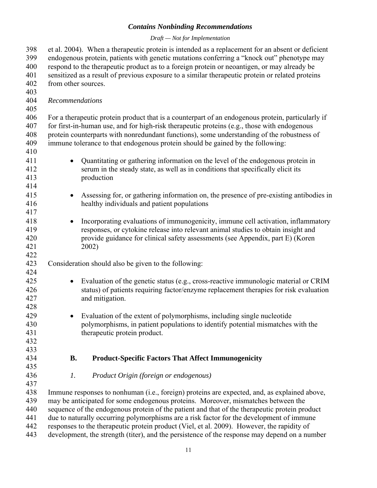### *Draft — Not for Implementation*

et al. 2004). When a therapeutic protein is intended as a replacement for an absent or deficient endogenous protein, patients with genetic mutations conferring a "knock out" phenotype may respond to the therapeutic product as to a foreign protein or neoantigen, or may already be sensitized as a result of previous exposure to a similar therapeutic protein or related proteins from other sources. 398 399 400 401 402 403 404 405 406 407 408 409 410 411 412 413 414 415 416 417 418 419 420 421 422 423 424 425 426 427 428 429 430 431 432 433 434 435 436 437 438 439 440 441 *Recommendations*  For a therapeutic protein product that is a counterpart of an endogenous protein, particularly if for first-in-human use, and for high-risk therapeutic proteins (e.g., those with endogenous protein counterparts with nonredundant functions), some understanding of the robustness of immune tolerance to that endogenous protein should be gained by the following: Quantitating or gathering information on the level of the endogenous protein in serum in the steady state, as well as in conditions that specifically elicit its production Assessing for, or gathering information on, the presence of pre-existing antibodies in healthy individuals and patient populations Incorporating evaluations of immunogenicity, immune cell activation, inflammatory responses, or cytokine release into relevant animal studies to obtain insight and provide guidance for clinical safety assessments (see Appendix, part E) (Koren 2002) Consideration should also be given to the following: Evaluation of the genetic status (e.g., cross-reactive immunologic material or CRIM status) of patients requiring factor/enzyme replacement therapies for risk evaluation and mitigation. Evaluation of the extent of polymorphisms, including single nucleotide polymorphisms, in patient populations to identify potential mismatches with the therapeutic protein product. **B. Product-Specific Factors That Affect Immunogenicity**  *1. Product Origin (foreign or endogenous)*  Immune responses to nonhuman (i.e., foreign) proteins are expected, and, as explained above, may be anticipated for some endogenous proteins. Moreover, mismatches between the sequence of the endogenous protein of the patient and that of the therapeutic protein product due to naturally occurring polymorphisms are a risk factor for the development of immune

<span id="page-12-1"></span><span id="page-12-0"></span>442 443 responses to the therapeutic protein product (Viel, et al. 2009). However, the rapidity of development, the strength (titer), and the persistence of the response may depend on a number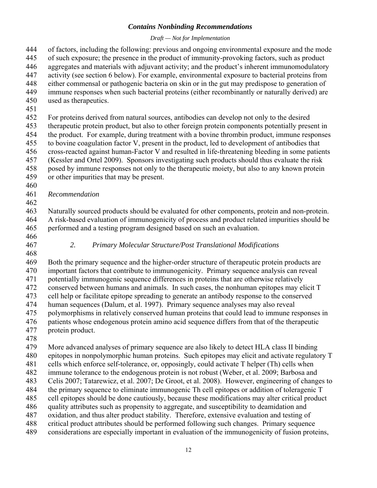### *Draft — Not for Implementation*

of factors, including the following: previous and ongoing environmental exposure and the mode of such exposure; the presence in the product of immunity-provoking factors, such as product aggregates and materials with adjuvant activity; and the product's inherent immunomodulatory activity (see section 6 below). For example, environmental exposure to bacterial proteins from either commensal or pathogenic bacteria on skin or in the gut may predispose to generation of immune responses when such bacterial proteins (either recombinantly or naturally derived) are used as therapeutics. 444 445 446 447 448 449 450 451 452 453 454 455 456 457 458 459 460 461 462 463 464 465 466 467 468 469 470 471 472 473 474 475 476 477 478 479 480 481 482 483 484 485 486 For proteins derived from natural sources, antibodies can develop not only to the desired therapeutic protein product, but also to other foreign protein components potentially present in the product. For example, during treatment with a bovine thrombin product, immune responses to bovine coagulation factor V, present in the product, led to development of antibodies that cross-reacted against human-Factor V and resulted in life-threatening bleeding in some patients (Kessler and Ortel 2009). Sponsors investigating such products should thus evaluate the risk posed by immune responses not only to the therapeutic moiety, but also to any known protein or other impurities that may be present. *Recommendation*  Naturally sourced products should be evaluated for other components, protein and non-protein. A risk-based evaluation of immunogenicity of process and product related impurities should be performed and a testing program designed based on such an evaluation. *2. Primary Molecular Structure/Post Translational Modifications*  Both the primary sequence and the higher-order structure of therapeutic protein products are important factors that contribute to immunogenicity. Primary sequence analysis can reveal potentially immunogenic sequence differences in proteins that are otherwise relatively conserved between humans and animals. In such cases, the nonhuman epitopes may elicit T cell help or facilitate epitope spreading to generate an antibody response to the conserved human sequences (Dalum, et al. 1997). Primary sequence analyses may also reveal polymorphisms in relatively conserved human proteins that could lead to immune responses in patients whose endogenous protein amino acid sequence differs from that of the therapeutic protein product. More advanced analyses of primary sequence are also likely to detect HLA class II binding epitopes in nonpolymorphic human proteins. Such epitopes may elicit and activate regulatory T cells which enforce self-tolerance, or, opposingly, could activate T helper (Th) cells when immune tolerance to the endogenous protein is not robust (Weber, et al. 2009; Barbosa and Celis 2007; Tatarewicz, et al. 2007; De Groot, et al. 2008). However, engineering of changes to the primary sequence to eliminate immunogenic Th cell epitopes or addition of toleragenic T cell epitopes should be done cautiously, because these modifications may alter critical product quality attributes such as propensity to aggregate, and susceptibility to deamidation and

- <span id="page-13-0"></span>487 488 oxidation, and thus alter product stability. Therefore, extensive evaluation and testing of critical product attributes should be performed following such changes. Primary sequence
- 489 considerations are especially important in evaluation of the immunogenicity of fusion proteins,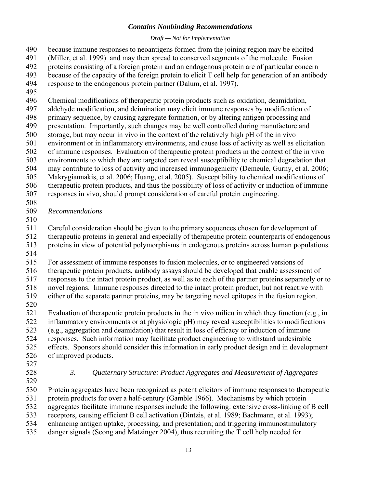## *Draft — Not for Implementation*

because immune responses to neoantigens formed from the joining region may be elicited 490

- (Miller, et al. 1999) and may then spread to conserved segments of the molecule. Fusion 491
- proteins consisting of a foreign protein and an endogenous protein are of particular concern 492
- because of the capacity of the foreign protein to elicit T cell help for generation of an antibody 493
- response to the endogenous protein partner (Dalum, et al. 1997). 494
- 495

496 Chemical modifications of therapeutic protein products such as oxidation, deamidation,

497 aldehyde modification, and deimination may elicit immune responses by modification of

498 primary sequence, by causing aggregate formation, or by altering antigen processing and

499 500 presentation. Importantly, such changes may be well controlled during manufacture and storage, but may occur in vivo in the context of the relatively high pH of the in vivo

501 environment or in inflammatory environments, and cause loss of activity as well as elicitation

502 of immune responses. Evaluation of therapeutic protein products in the context of the in vivo

- 503 environments to which they are targeted can reveal susceptibility to chemical degradation that
- 504 may contribute to loss of activity and increased immunogenicity (Demeule, Gurny, et al. 2006;
- 505 Makrygiannakis, et al. 2006; Huang, et al. 2005). Susceptibility to chemical modifications of

506 therapeutic protein products, and thus the possibility of loss of activity or induction of immune

- 507 responses in vivo, should prompt consideration of careful protein engineering.
- 508

#### 509 *Recommendations*

510

511 Careful consideration should be given to the primary sequences chosen for development of

- 512 therapeutic proteins in general and especially of therapeutic protein counterparts of endogenous
- 513 proteins in view of potential polymorphisms in endogenous proteins across human populations.
- 514

515 For assessment of immune responses to fusion molecules, or to engineered versions of

516 therapeutic protein products, antibody assays should be developed that enable assessment of

517 responses to the intact protein product, as well as to each of the partner proteins separately or to

518 novel regions. Immune responses directed to the intact protein product, but not reactive with

519 either of the separate partner proteins, may be targeting novel epitopes in the fusion region.

520

521 Evaluation of therapeutic protein products in the in vivo milieu in which they function (e.g., in

522 inflammatory environments or at physiologic pH) may reveal susceptibilities to modifications

523 (e.g., aggregation and deamidation) that result in loss of efficacy or induction of immune

524 responses. Such information may facilitate product engineering to withstand undesirable

525 526 effects. Sponsors should consider this information in early product design and in development of improved products.

- 527
- <span id="page-14-0"></span>528

# *3. Quaternary Structure: Product Aggregates and Measurement of Aggregates*

529 530

531 Protein aggregates have been recognized as potent elicitors of immune responses to therapeutic protein products for over a half-century (Gamble 1966). Mechanisms by which protein

532 aggregates facilitate immune responses include the following: extensive cross-linking of B cell

533 receptors, causing efficient B cell activation (Dintzis, et al. 1989; Bachmann, et al. 1993);

534 enhancing antigen uptake, processing, and presentation; and triggering immunostimulatory

535 danger signals (Seong and Matzinger 2004), thus recruiting the T cell help needed for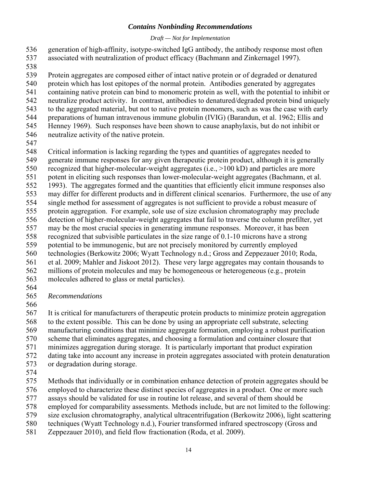### *Draft — Not for Implementation*

generation of high-affinity, isotype-switched IgG antibody, the antibody response most often associated with neutralization of product efficacy (Bachmann and Zinkernagel 1997). 536 537

538

539 Protein aggregates are composed either of intact native protein or of degraded or denatured

- 540 protein which has lost epitopes of the normal protein. Antibodies generated by aggregates
- 541 containing native protein can bind to monomeric protein as well, with the potential to inhibit or
- 542 neutralize product activity. In contrast, antibodies to denatured/degraded protein bind uniquely
- 543 544 to the aggregated material, but not to native protein monomers, such as was the case with early preparations of human intravenous immune globulin (IVIG) (Barandun, et al. 1962; Ellis and
- 545 Henney 1969). Such responses have been shown to cause anaphylaxis, but do not inhibit or
- 546 neutralize activity of the native protein.
- 547
- 548 Critical information is lacking regarding the types and quantities of aggregates needed to
- 549 generate immune responses for any given therapeutic protein product, although it is generally
- 550 recognized that higher-molecular-weight aggregates (i.e., >100 kD) and particles are more
- 551 potent in eliciting such responses than lower-molecular-weight aggregates (Bachmann, et al.
- 552 1993). The aggregates formed and the quantities that efficiently elicit immune responses also
- 553 may differ for different products and in different clinical scenarios. Furthermore, the use of any
- 554 single method for assessment of aggregates is not sufficient to provide a robust measure of
- 555 protein aggregation. For example, sole use of size exclusion chromatography may preclude
- 556 detection of higher-molecular-weight aggregates that fail to traverse the column prefilter, yet
- 557 558 may be the most crucial species in generating immune responses. Moreover, it has been recognized that subvisible particulates in the size range of 0.1-10 microns have a strong
- 559 potential to be immunogenic, but are not precisely monitored by currently employed
- 560 technologies (Berkowitz 2006; Wyatt Technology n.d.; Gross and Zeppezauer 2010; Roda,
- 561 et al. 2009; Mahler and Jiskoot 2012). These very large aggregates may contain thousands to
- 562 millions of protein molecules and may be homogeneous or heterogeneous (e.g., protein
- 563 molecules adhered to glass or metal particles).
- 564

#### 565 *Recommendations*

566

- 567 It is critical for manufacturers of therapeutic protein products to minimize protein aggregation
- 568 to the extent possible. This can be done by using an appropriate cell substrate, selecting
- 569 manufacturing conditions that minimize aggregate formation, employing a robust purification
- 570 scheme that eliminates aggregates, and choosing a formulation and container closure that
- 571 minimizes aggregation during storage. It is particularly important that product expiration
- 572 dating take into account any increase in protein aggregates associated with protein denaturation
- 573 or degradation during storage.
- 574
- 575 Methods that individually or in combination enhance detection of protein aggregates should be
- 576 employed to characterize these distinct species of aggregates in a product. One or more such
- 577 assays should be validated for use in routine lot release, and several of them should be
- 578 employed for comparability assessments. Methods include, but are not limited to the following:
- 579 size exclusion chromatography, analytical ultracentrifugation (Berkowitz 2006), light scattering
- 580 techniques (Wyatt Technology n.d.), Fourier transformed infrared spectroscopy (Gross and
- 581 Zeppezauer 2010), and field flow fractionation (Roda, et al. 2009).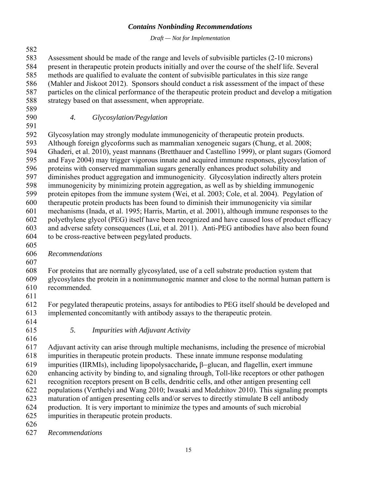*Draft — Not for Implementation* 

582

583 584 585 586 587 588 Assessment should be made of the range and levels of subvisible particles (2-10 microns) present in therapeutic protein products initially and over the course of the shelf life. Several methods are qualified to evaluate the content of subvisible particulates in this size range (Mahler and Jiskoot 2012). Sponsors should conduct a risk assessment of the impact of these particles on the clinical performance of the therapeutic protein product and develop a mitigation strategy based on that assessment, when appropriate.

- 589
- <span id="page-16-0"></span>590

*4. Glycosylation/Pegylation* 

591 592 593 594 595 596 597 598 599 600 601 602 603 Glycosylation may strongly modulate immunogenicity of therapeutic protein products. Although foreign glycoforms such as mammalian xenogeneic sugars (Chung, et al. 2008; Ghaderi, et al. 2010), yeast mannans (Bretthauer and Castellino 1999), or plant sugars (Gomord and Faye 2004) may trigger vigorous innate and acquired immune responses, glycosylation of proteins with conserved mammalian sugars generally enhances product solubility and diminishes product aggregation and immunogenicity. Glycosylation indirectly alters protein immunogenicity by minimizing protein aggregation, as well as by shielding immunogenic protein epitopes from the immune system (Wei, et al. 2003; Cole, et al. 2004). Pegylation of therapeutic protein products has been found to diminish their immunogenicity via similar mechanisms (Inada, et al. 1995; Harris, Martin, et al. 2001), although immune responses to the polyethylene glycol (PEG) itself have been recognized and have caused loss of product efficacy and adverse safety consequences (Lui, et al. 2011). Anti-PEG antibodies have also been found

- 604 to be cross-reactive between pegylated products.
- 605
- 606 *Recommendations*
- 607

608 609 For proteins that are normally glycosylated, use of a cell substrate production system that glycosylates the protein in a nonimmunogenic manner and close to the normal human pattern is

- 610 recommended.
- 611

612 613 For pegylated therapeutic proteins, assays for antibodies to PEG itself should be developed and implemented concomitantly with antibody assays to the therapeutic protein.

- 614
- <span id="page-16-1"></span>615

*5. Impurities with Adjuvant Activity* 

616

617 618 619 620 Adjuvant activity can arise through multiple mechanisms, including the presence of microbial impurities in therapeutic protein products. These innate immune response modulating impurities (IIRMIs), including lipopolysaccharide,  $\beta$ -glucan, and flagellin, exert immune enhancing activity by binding to, and signaling through, Toll-like receptors or other pathogen

621 622 recognition receptors present on B cells, dendritic cells, and other antigen presenting cell populations (Verthelyi and Wang 2010; Iwasaki and Medzhitov 2010). This signaling prompts

623 maturation of antigen presenting cells and/or serves to directly stimulate B cell antibody

624 production. It is very important to minimize the types and amounts of such microbial

- 625 impurities in therapeutic protein products.
- 626

627 *Recommendations*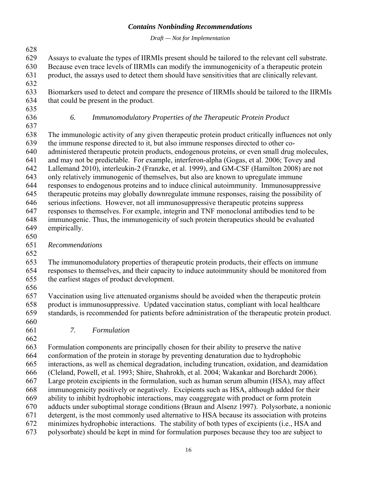*Draft — Not for Implementation* 

<span id="page-17-0"></span>628 629 630 631 632 633 634 635 636 637 638 639 640 641 642 643 644 645 646 647 648 649 650 651 652 653 654 655 656 657 658 659 660 661 662 663 664 665 666 667 668 669 670 671 672 Assays to evaluate the types of IIRMIs present should be tailored to the relevant cell substrate. Because even trace levels of IIRMIs can modify the immunogenicity of a therapeutic protein product, the assays used to detect them should have sensitivities that are clinically relevant. Biomarkers used to detect and compare the presence of IIRMIs should be tailored to the IIRMIs that could be present in the product. *6. Immunomodulatory Properties of the Therapeutic Protein Product*  The immunologic activity of any given therapeutic protein product critically influences not only the immune response directed to it, but also immune responses directed to other coadministered therapeutic protein products, endogenous proteins, or even small drug molecules, and may not be predictable. For example, interferon-alpha (Gogas, et al. 2006; Tovey and Lallemand 2010), interleukin-2 (Franzke, et al. 1999), and GM-CSF (Hamilton 2008) are not only relatively immunogenic of themselves, but also are known to upregulate immune responses to endogenous proteins and to induce clinical autoimmunity. Immunosuppressive therapeutic proteins may globally downregulate immune responses, raising the possibility of serious infections. However, not all immunosuppressive therapeutic proteins suppress responses to themselves. For example, integrin and TNF monoclonal antibodies tend to be immunogenic. Thus, the immunogenicity of such protein therapeutics should be evaluated empirically. *Recommendations* The immunomodulatory properties of therapeutic protein products, their effects on immune responses to themselves, and their capacity to induce autoimmunity should be monitored from the earliest stages of product development. Vaccination using live attenuated organisms should be avoided when the therapeutic protein product is immunosuppressive. Updated vaccination status, compliant with local healthcare standards, is recommended for patients before administration of the therapeutic protein product. *7. Formulation*  Formulation components are principally chosen for their ability to preserve the native conformation of the protein in storage by preventing denaturation due to hydrophobic interactions, as well as chemical degradation, including truncation, oxidation, and deamidation (Cleland, Powell, et al. 1993; Shire, Shahrokh, et al. 2004; Wakankar and Borchardt 2006). Large protein excipients in the formulation, such as human serum albumin (HSA), may affect immunogenicity positively or negatively. Excipients such as HSA, although added for their ability to inhibit hydrophobic interactions, may coaggregate with product or form protein adducts under suboptimal storage conditions (Braun and Alsenz 1997). Polysorbate, a nonionic detergent, is the most commonly used alternative to HSA because its association with proteins minimizes hydrophobic interactions. The stability of both types of excipients (i.e., HSA and

<span id="page-17-1"></span>673 polysorbate) should be kept in mind for formulation purposes because they too are subject to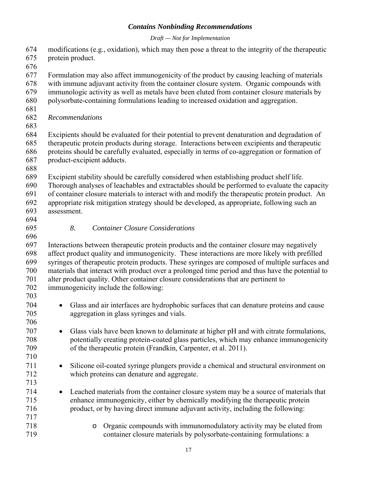<span id="page-18-0"></span>

|                                                      | $Draff - Not for Implementation$                                                                                                                                                                                                                                                                                                                                                                                                                                                                                                 |  |  |
|------------------------------------------------------|----------------------------------------------------------------------------------------------------------------------------------------------------------------------------------------------------------------------------------------------------------------------------------------------------------------------------------------------------------------------------------------------------------------------------------------------------------------------------------------------------------------------------------|--|--|
| 674<br>675<br>676                                    | modifications (e.g., oxidation), which may then pose a threat to the integrity of the therapeutic<br>protein product.                                                                                                                                                                                                                                                                                                                                                                                                            |  |  |
| 677<br>678<br>679<br>680<br>681                      | Formulation may also affect immunogenicity of the product by causing leaching of materials<br>with immune adjuvant activity from the container closure system. Organic compounds with<br>immunologic activity as well as metals have been eluted from container closure materials by<br>polysorbate-containing formulations leading to increased oxidation and aggregation.                                                                                                                                                      |  |  |
| 682<br>683                                           | Recommendations                                                                                                                                                                                                                                                                                                                                                                                                                                                                                                                  |  |  |
| 684<br>685<br>686<br>687<br>688                      | Excipients should be evaluated for their potential to prevent denaturation and degradation of<br>therapeutic protein products during storage. Interactions between excipients and therapeutic<br>proteins should be carefully evaluated, especially in terms of co-aggregation or formation of<br>product-excipient adducts.                                                                                                                                                                                                     |  |  |
| 689<br>690<br>691<br>692<br>693                      | Excipient stability should be carefully considered when establishing product shelf life.<br>Thorough analyses of leachables and extractables should be performed to evaluate the capacity<br>of container closure materials to interact with and modify the therapeutic protein product. An<br>appropriate risk mitigation strategy should be developed, as appropriate, following such an<br>assessment.                                                                                                                        |  |  |
| 694<br>695                                           | 8.<br><b>Container Closure Considerations</b>                                                                                                                                                                                                                                                                                                                                                                                                                                                                                    |  |  |
| 696<br>697<br>698<br>699<br>700<br>701<br>702<br>703 | Interactions between therapeutic protein products and the container closure may negatively<br>affect product quality and immunogenicity. These interactions are more likely with prefilled<br>syringes of therapeutic protein products. These syringes are composed of multiple surfaces and<br>materials that interact with product over a prolonged time period and thus have the potential to<br>alter product quality. Other container closure considerations that are pertinent to<br>immunogenicity include the following: |  |  |
| 704<br>705                                           | Glass and air interfaces are hydrophobic surfaces that can denature proteins and cause<br>$\bullet$<br>aggregation in glass syringes and vials.                                                                                                                                                                                                                                                                                                                                                                                  |  |  |
| 706<br>707<br>708<br>709<br>710                      | Glass vials have been known to delaminate at higher pH and with citrate formulations,<br>$\bullet$<br>potentially creating protein-coated glass particles, which may enhance immunogenicity<br>of the therapeutic protein (Frandkin, Carpenter, et al. 2011).                                                                                                                                                                                                                                                                    |  |  |
| 711<br>712                                           | Silicone oil-coated syringe plungers provide a chemical and structural environment on<br>$\bullet$<br>which proteins can denature and aggregate.                                                                                                                                                                                                                                                                                                                                                                                 |  |  |
| 713<br>714<br>715<br>716                             | Leached materials from the container closure system may be a source of materials that<br>$\bullet$<br>enhance immunogenicity, either by chemically modifying the therapeutic protein<br>product, or by having direct immune adjuvant activity, including the following:                                                                                                                                                                                                                                                          |  |  |
| 717<br>718<br>719                                    | Organic compounds with immunomodulatory activity may be eluted from<br>O<br>container closure materials by polysorbate-containing formulations: a                                                                                                                                                                                                                                                                                                                                                                                |  |  |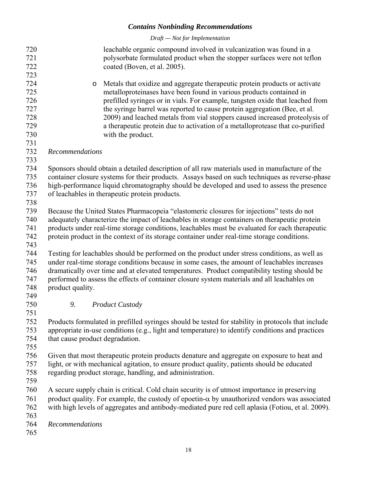*Draft — Not for Implementation* 

| 720<br>721        |                                                                                                  | leachable organic compound involved in vulcanization was found in a<br>polysorbate formulated product when the stopper surfaces were not teflon                                                            |  |
|-------------------|--------------------------------------------------------------------------------------------------|------------------------------------------------------------------------------------------------------------------------------------------------------------------------------------------------------------|--|
| 722<br>723        |                                                                                                  | coated (Boven, et al. 2005).                                                                                                                                                                               |  |
| 724<br>725        | $\circ$                                                                                          | Metals that oxidize and aggregate therapeutic protein products or activate<br>metalloproteinases have been found in various products contained in                                                          |  |
| 726<br>727        |                                                                                                  | prefilled syringes or in vials. For example, tungsten oxide that leached from                                                                                                                              |  |
| 728               |                                                                                                  | the syringe barrel was reported to cause protein aggregation (Bee, et al.<br>2009) and leached metals from vial stoppers caused increased proteolysis of                                                   |  |
| 729<br>730        |                                                                                                  | a therapeutic protein due to activation of a metalloprotease that co-purified<br>with the product.                                                                                                         |  |
| 731<br>732        | Recommendations                                                                                  |                                                                                                                                                                                                            |  |
| 733               |                                                                                                  |                                                                                                                                                                                                            |  |
| 734<br>735        |                                                                                                  | Sponsors should obtain a detailed description of all raw materials used in manufacture of the<br>container closure systems for their products. Assays based on such techniques as reverse-phase            |  |
| 736               |                                                                                                  | high-performance liquid chromatography should be developed and used to assess the presence                                                                                                                 |  |
| 737               |                                                                                                  | of leachables in therapeutic protein products.                                                                                                                                                             |  |
| 738<br>739        |                                                                                                  | Because the United States Pharmacopeia "elastomeric closures for injections" tests do not                                                                                                                  |  |
| 740               |                                                                                                  | adequately characterize the impact of leachables in storage containers on therapeutic protein                                                                                                              |  |
| 741<br>742        |                                                                                                  | products under real-time storage conditions, leachables must be evaluated for each therapeutic<br>protein product in the context of its storage container under real-time storage conditions.              |  |
| 743               |                                                                                                  |                                                                                                                                                                                                            |  |
| 744<br>745        |                                                                                                  | Testing for leachables should be performed on the product under stress conditions, as well as<br>under real-time storage conditions because in some cases, the amount of leachables increases              |  |
| 746<br>747        |                                                                                                  | dramatically over time and at elevated temperatures. Product compatibility testing should be<br>performed to assess the effects of container closure system materials and all leachables on                |  |
| 748               | product quality.                                                                                 |                                                                                                                                                                                                            |  |
| 749<br>750        | 9.                                                                                               | <b>Product Custody</b>                                                                                                                                                                                     |  |
| 751               |                                                                                                  |                                                                                                                                                                                                            |  |
| 752               |                                                                                                  | Products formulated in prefilled syringes should be tested for stability in protocols that include                                                                                                         |  |
| 753               | appropriate in-use conditions (e.g., light and temperature) to identify conditions and practices |                                                                                                                                                                                                            |  |
| 754<br>755        | that cause product degradation.                                                                  |                                                                                                                                                                                                            |  |
| 756               |                                                                                                  | Given that most therapeutic protein products denature and aggregate on exposure to heat and                                                                                                                |  |
| 757               |                                                                                                  | light, or with mechanical agitation, to ensure product quality, patients should be educated                                                                                                                |  |
| 758<br>759        |                                                                                                  | regarding product storage, handling, and administration.                                                                                                                                                   |  |
| 760               |                                                                                                  | A secure supply chain is critical. Cold chain security is of utmost importance in preserving                                                                                                               |  |
| 761<br>762<br>763 |                                                                                                  | product quality. For example, the custody of epoetin- $\alpha$ by unauthorized vendors was associated<br>with high levels of aggregates and antibody-mediated pure red cell aplasia (Fotiou, et al. 2009). |  |
| 764               | Recommendations                                                                                  |                                                                                                                                                                                                            |  |

<span id="page-19-0"></span>765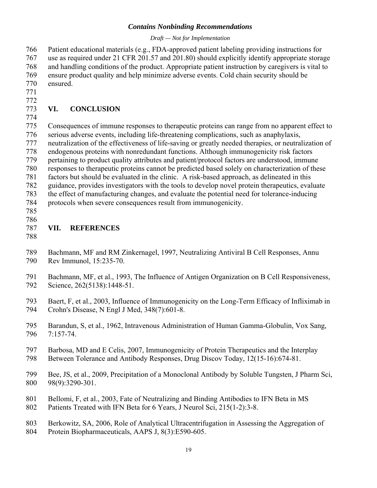*Draft — Not for Implementation* 

Patient educational materials (e.g., FDA-approved patient labeling providing instructions for use as required under 21 CFR 201.57 and 201.80) should explicitly identify appropriate storage and handling conditions of the product. Appropriate patient instruction by caregivers is vital to ensure product quality and help minimize adverse events. Cold chain security should be ensured. 766 767 768 769 770

771

# 772

#### <span id="page-20-0"></span>773 **VI. CONCLUSION**

774

775 776 777 778 779 780 781 782 783 784 Consequences of immune responses to therapeutic proteins can range from no apparent effect to serious adverse events, including life-threatening complications, such as anaphylaxis, neutralization of the effectiveness of life-saving or greatly needed therapies, or neutralization of endogenous proteins with nonredundant functions. Although immunogenicity risk factors pertaining to product quality attributes and patient/protocol factors are understood, immune responses to therapeutic proteins cannot be predicted based solely on characterization of these factors but should be evaluated in the clinic. A risk-based approach, as delineated in this guidance, provides investigators with the tools to develop novel protein therapeutics, evaluate the effect of manufacturing changes, and evaluate the potential need for tolerance-inducing protocols when severe consequences result from immunogenicity.

785 786

#### <span id="page-20-1"></span>787 **VII. REFERENCES**

788

789 790 Bachmann, MF and RM Zinkernagel, 1997, Neutralizing Antiviral B Cell Responses, Annu Rev Immunol, 15:235-70.

791 792 Bachmann, MF, et al., 1993, The Influence of Antigen Organization on B Cell Responsiveness, Science, 262(5138): 1448-51.

793 794 Baert, F, et al., 2003, Influence of Immunogenicity on the Long-Term Efficacy of Infliximab in Crohn's Disease, N Engl J Med, 348(7):601-8.

795 796 Barandun, S, et al., 1962, Intravenous Administration of Human Gamma-Globulin, Vox Sang, 7:157-74.

797 798 Barbosa, MD and E Celis, 2007, Immunogenicity of Protein Therapeutics and the Interplay Between Tolerance and Antibody Responses, Drug Discov Today, 12(15-16):674-81.

799 800 Bee, JS, et al., 2009, Precipitation of a Monoclonal Antibody by Soluble Tungsten, J Pharm Sci, 98(9):3290-301.

- 801 Bellomi, F, et al., 2003, Fate of Neutralizing and Binding Antibodies to IFN Beta in MS
- 802 Patients Treated with IFN Beta for 6 Years, J Neurol Sci, 215(1-2):3-8.

803 804 Berkowitz, SA, 2006, Role of Analytical Ultracentrifugation in Assessing the Aggregation of Protein Biopharmaceuticals, AAPS J, 8(3):E590-605.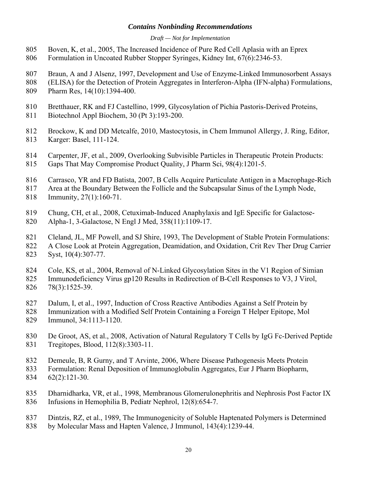- Boven, K, et al., 2005, The Increased Incidence of Pure Red Cell Aplasia with an Eprex 805
- Formulation in Uncoated Rubber Stopper Syringes, Kidney Int, 67(6):2346-53. 806
- 807 Braun, A and J Alsenz, 1997, Development and Use of Enzyme-Linked Immunosorbent Assays
- 808 (ELISA) for the Detection of Protein Aggregates in Interferon-Alpha (IFN-alpha) Formulations,
- 809 Pharm Res, 14(10):1394-400.
- 810 Bretthauer, RK and FJ Castellino, 1999, Glycosylation of Pichia Pastoris-Derived Proteins,
- 811 Biotechnol Appl Biochem, 30 (Pt 3):193-200.
- 812 813 Brockow, K and DD Metcalfe, 2010, Mastocytosis, in Chem Immunol Allergy, J. Ring, Editor, Karger: Basel, 111-124.
- 814 Carpenter, JF, et al., 2009, Overlooking Subvisible Particles in Therapeutic Protein Products:
- 815 Gaps That May Compromise Product Quality, J Pharm Sci, 98(4):1201-5.
- 816 Carrasco, YR and FD Batista, 2007, B Cells Acquire Particulate Antigen in a Macrophage-Rich
- 817 Area at the Boundary Between the Follicle and the Subcapsular Sinus of the Lymph Node,
- 818 Immunity, 27(1):160-71.
- 819 Chung, CH, et al., 2008, Cetuximab-Induced Anaphylaxis and IgE Specific for Galactose-
- 820 Alpha-1, 3-Galactose, N Engl J Med, 358(11):1109-17.
- 821 Cleland, JL, MF Powell, and SJ Shire, 1993, The Development of Stable Protein Formulations:
- 822 823 A Close Look at Protein Aggregation, Deamidation, and Oxidation, Crit Rev Ther Drug Carrier Syst, 10(4):307-77.
- 824 825 826 Cole, KS, et al., 2004, Removal of N-Linked Glycosylation Sites in the V1 Region of Simian Immunodeficiency Virus gp120 Results in Redirection of B-Cell Responses to V3, J Virol, 78(3):1525-39.
- 827 Dalum, I, et al., 1997, Induction of Cross Reactive Antibodies Against a Self Protein by
- 828 829 Immunization with a Modified Self Protein Containing a Foreign T Helper Epitope, Mol Immunol, 34:1113-1120.
- 830 831 De Groot, AS, et al., 2008, Activation of Natural Regulatory T Cells by IgG Fc-Derived Peptide Tregitopes, Blood, 112(8):3303-11.
- 832 Demeule, B, R Gurny, and T Arvinte, 2006, Where Disease Pathogenesis Meets Protein
- 833 Formulation: Renal Deposition of Immunoglobulin Aggregates, Eur J Pharm Biopharm,
- 834 62(2):121-30.
- 835 836 Dharnidharka, VR, et al., 1998, Membranous Glomerulonephritis and Nephrosis Post Factor IX Infusions in Hemophilia B, Pediatr Nephrol, 12(8):654-7.
- 837 838 Dintzis, RZ, et al., 1989, The Immunogenicity of Soluble Haptenated Polymers is Determined by Molecular Mass and Hapten Valence, J Immunol, 143(4):1239-44.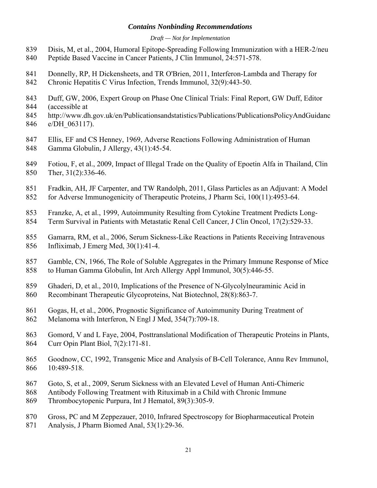- Disis, M, et al., 2004, Humoral Epitope-Spreading Following Immunization with a HER-2/neu 839
- Peptide Based Vaccine in Cancer Patients, J Clin Immunol, 24:571-578. 840
- 841 Donnelly, RP, H Dickensheets, and TR O'Brien, 2011, Interferon-Lambda and Therapy for
- 842 Chronic Hepatitis C Virus Infection, Trends Immunol, 32(9):443-50.
- 843 Duff, GW, 2006, Expert Group on Phase One Clinical Trials: Final Report, GW Duff, Editor
- 844 (accessible at
- 845 http://www.dh.gov.uk/en/Publicationsandstatistics/Publications/PublicationsPolicyAndGuidanc
- 846  $e/DH$  063117).
- 847 848 Ellis, EF and CS Henney, 1969, Adverse Reactions Following Administration of Human Gamma Globulin, J Allergy, 43(1):45-54.
- 849 850 Fotiou, F, et al., 2009, Impact of Illegal Trade on the Quality of Epoetin Alfa in Thailand, Clin Ther, 31(2):336-46.
- 851 Fradkin, AH, JF Carpenter, and TW Randolph, 2011, Glass Particles as an Adjuvant: A Model
- 852 for Adverse Immunogenicity of Therapeutic Proteins, J Pharm Sci, 100(11):4953-64.
- 853 854 Franzke, A, et al., 1999, Autoimmunity Resulting from Cytokine Treatment Predicts Long-Term Survival in Patients with Metastatic Renal Cell Cancer, J Clin Oncol, 17(2):529-33.
- 855 856 Gamarra, RM, et al., 2006, Serum Sickness-Like Reactions in Patients Receiving Intravenous Infliximab, J Emerg Med, 30(1):41-4.
- 857 858 Gamble, CN, 1966, The Role of Soluble Aggregates in the Primary Immune Response of Mice to Human Gamma Globulin, Int Arch Allergy Appl Immunol, 30(5):446-55.
- 859 860 Ghaderi, D, et al., 2010, Implications of the Presence of N-Glycolylneuraminic Acid in Recombinant Therapeutic Glycoproteins, Nat Biotechnol, 28(8):863-7.
- 861 862 Gogas, H, et al., 2006, Prognostic Significance of Autoimmunity During Treatment of Melanoma with Interferon, N Engl J Med, 354(7):709-18.
- 863 864 Gomord, V and L Faye, 2004, Posttranslational Modification of Therapeutic Proteins in Plants, Curr Opin Plant Biol, 7(2):171-81.
- 865 866 Goodnow, CC, 1992, Transgenic Mice and Analysis of B-Cell Tolerance, Annu Rev Immunol, 10:489-518.
- 867 Goto, S, et al., 2009, Serum Sickness with an Elevated Level of Human Anti-Chimeric
- 868 Antibody Following Treatment with Rituximab in a Child with Chronic Immune
- 869 Thrombocytopenic Purpura, Int J Hematol, 89(3):305-9.
- 870 Gross, PC and M Zeppezauer, 2010, Infrared Spectroscopy for Biopharmaceutical Protein
- 871 Analysis, J Pharm Biomed Anal, 53(1):29-36.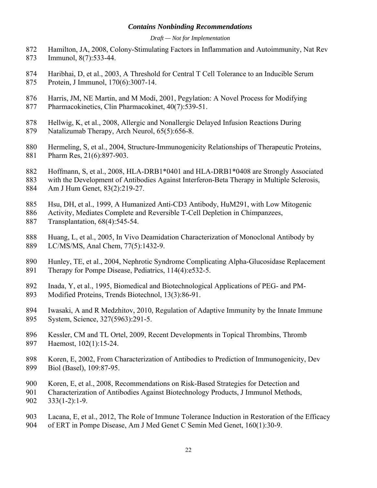- Hamilton, JA, 2008, Colony-Stimulating Factors in Inflammation and Autoimmunity, Nat Rev 872
- Immunol, 8(7):533-44. 873
- 874 Haribhai, D, et al., 2003, A Threshold for Central T Cell Tolerance to an Inducible Serum
- 875 Protein, J Immunol, 170(6):3007-14.
- 876 877 Harris, JM, NE Martin, and M Modi, 2001, Pegylation: A Novel Process for Modifying Pharmacokinetics, Clin Pharmacokinet, 40(7):539-51.
- 878 879 Hellwig, K, et al., 2008, Allergic and Nonallergic Delayed Infusion Reactions During Natalizumab Therapy, Arch Neurol, 65(5):656-8.
- 880 881 Hermeling, S, et al., 2004, Structure-Immunogenicity Relationships of Therapeutic Proteins, Pharm Res, 21(6):897-903.
- 882 Hoffmann, S, et al., 2008, HLA-DRB1\*0401 and HLA-DRB1\*0408 are Strongly Associated
- 883 884 with the Development of Antibodies Against Interferon-Beta Therapy in Multiple Sclerosis, Am J Hum Genet, 83(2):219-27.
- 885 Hsu, DH, et al., 1999, A Humanized Anti-CD3 Antibody, HuM291, with Low Mitogenic
- 886 887 Activity, Mediates Complete and Reversible T-Cell Depletion in Chimpanzees, Transplantation, 68(4):545-54.
- 888 889 Huang, L, et al., 2005, In Vivo Deamidation Characterization of Monoclonal Antibody by LC/MS/MS, Anal Chem, 77(5):1432-9.
- 890 891 Hunley, TE, et al., 2004, Nephrotic Syndrome Complicating Alpha-Glucosidase Replacement Therapy for Pompe Disease, Pediatrics, 114(4):e532-5.
- 892 893 Inada, Y, et al., 1995, Biomedical and Biotechnological Applications of PEG- and PM-Modified Proteins, Trends Biotechnol, 13(3):86-91.
- 894 895 Iwasaki, A and R Medzhitov, 2010, Regulation of Adaptive Immunity by the Innate Immune System, Science, 327(5963):291-5.
- 896 897 Kessler, CM and TL Ortel, 2009, Recent Developments in Topical Thrombins, Thromb Haemost, 102(1):15-24.
- 898 899 Koren, E, 2002, From Characterization of Antibodies to Prediction of Immunogenicity, Dev Biol (Basel), 109:87-95.
- 900 Koren, E, et al., 2008, Recommendations on Risk-Based Strategies for Detection and
- 901 902 Characterization of Antibodies Against Biotechnology Products, J Immunol Methods, 333(1-2):1-9.
- 903 904 Lacana, E, et al., 2012, The Role of Immune Tolerance Induction in Restoration of the Efficacy of ERT in Pompe Disease, Am J Med Genet C Semin Med Genet, 160(1):30-9.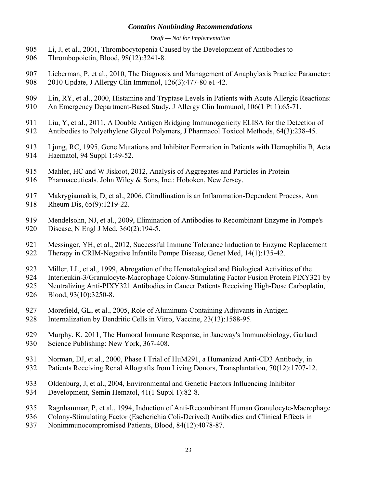- Li, J, et al., 2001, Thrombocytopenia Caused by the Development of Antibodies to 905
- Thrombopoietin, Blood, 98(12):3241-8. 906
- 907 908 Lieberman, P, et al., 2010, The Diagnosis and Management of Anaphylaxis Practice Parameter: 2010 Update, J Allergy Clin Immunol, 126(3):477-80 e1-42.
- 909 Lin, RY, et al., 2000, Histamine and Tryptase Levels in Patients with Acute Allergic Reactions:
- 910 An Emergency Department-Based Study, J Allergy Clin Immunol, 106(1 Pt 1):65-71.
- 911 912 Liu, Y, et al., 2011, A Double Antigen Bridging Immunogenicity ELISA for the Detection of Antibodies to Polyethylene Glycol Polymers, J Pharmacol Toxicol Methods, 64(3):238-45.
- 913 914 Ljung, RC, 1995, Gene Mutations and Inhibitor Formation in Patients with Hemophilia B, Acta Haematol, 94 Suppl 1:49-52.
- 915 Mahler, HC and W Jiskoot, 2012, Analysis of Aggregates and Particles in Protein
- 916 Pharmaceuticals. John Wiley & Sons, Inc.: Hoboken, New Jersey.
- 917 918 Makrygiannakis, D, et al., 2006, Citrullination is an Inflammation-Dependent Process, Ann Rheum Dis, 65(9):1219-22.
- 919 920 Mendelsohn, NJ, et al., 2009, Elimination of Antibodies to Recombinant Enzyme in Pompe's Disease, N Engl J Med, 360(2):194-5.
- 921 922 Messinger, YH, et al., 2012, Successful Immune Tolerance Induction to Enzyme Replacement Therapy in CRIM-Negative Infantile Pompe Disease, Genet Med, 14(1):135-42.
- 923 Miller, LL, et al., 1999, Abrogation of the Hematological and Biological Activities of the
- 924 Interleukin-3/Granulocyte-Macrophage Colony-Stimulating Factor Fusion Protein PIXY321 by
- 925 Neutralizing Anti-PIXY321 Antibodies in Cancer Patients Receiving High-Dose Carboplatin,
- 926 Blood, 93(10):3250-8.
- 927 Morefield, GL, et al., 2005, Role of Aluminum-Containing Adjuvants in Antigen
- 928 Internalization by Dendritic Cells in Vitro, Vaccine, 23(13):1588-95.
- 929 930 Murphy, K, 2011, The Humoral Immune Response, in Janeway's Immunobiology, Garland Science Publishing: New York, 367-408.
- 931 Norman, DJ, et al., 2000, Phase I Trial of HuM291, a Humanized Anti-CD3 Antibody, in
- 932 Patients Receiving Renal Allografts from Living Donors, Transplantation, 70(12):1707-12.
- 933 934 Oldenburg, J, et al., 2004, Environmental and Genetic Factors Influencing Inhibitor Development, Semin Hematol, 41(1 Suppl 1):82-8.
- 935 Ragnhammar, P, et al., 1994, Induction of Anti-Recombinant Human Granulocyte-Macrophage
- 936 Colony-Stimulating Factor (Escherichia Coli-Derived) Antibodies and Clinical Effects in
- 937 Nonimmunocompromised Patients, Blood, 84(12):4078-87.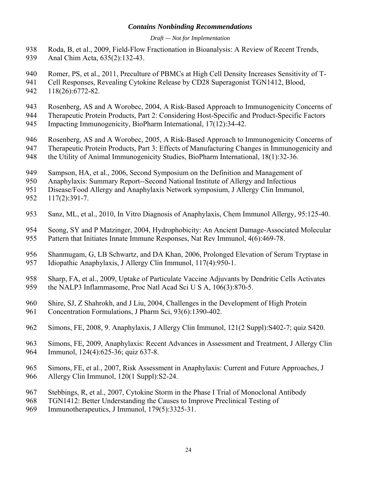### *Draft — Not for Implementation*

Roda, B, et al., 2009, Field-Flow Fractionation in Bioanalysis: A Review of Recent Trends, 938

- Anal Chim Acta, 635(2):132-43. 939
- 940 Romer, PS, et al., 2011, Preculture of PBMCs at High Cell Density Increases Sensitivity of T-
- 941 Cell Responses, Revealing Cytokine Release by CD28 Superagonist TGN1412, Blood,
- 942 118(26):6772-82.
- 943 Rosenberg, AS and A Worobec, 2004, A Risk-Based Approach to Immunogenicity Concerns of
- 944 Therapeutic Protein Products, Part 2: Considering Host-Specific and Product-Specific Factors
- 945 Impacting Immunogenicity, BioPharm International, 17(12):34-42.
- 946 Rosenberg, AS and A Worobec, 2005, A Risk-Based Approach to Immunogenicity Concerns of
- 947 Therapeutic Protein Products, Part 3: Effects of Manufacturing Changes in Immunogenicity and
- 948 the Utility of Animal Immunogenicity Studies, BioPharm International, 18(1):32-36.
- 949 Sampson, HA, et al., 2006, Second Symposium on the Definition and Management of
- 950 Anaphylaxis: Summary Report--Second National Institute of Allergy and Infectious
- 951 Disease/Food Allergy and Anaphylaxis Network symposium, J Allergy Clin Immunol,
- 952 117(2):391-7.
- 953 Sanz, ML, et al., 2010, In Vitro Diagnosis of Anaphylaxis, Chem Immunol Allergy, 95:125-40.
- 954 Seong, SY and P Matzinger, 2004, Hydrophobicity: An Ancient Damage-Associated Molecular
- 955 Pattern that Initiates Innate Immune Responses, Nat Rev Immunol, 4(6):469-78.
- 956 957 Shanmugam, G, LB Schwartz, and DA Khan, 2006, Prolonged Elevation of Serum Tryptase in Idiopathic Anaphylaxis, J Allergy Clin Immunol, 117(4):950-1.
- 958 959 Sharp, FA, et al., 2009, Uptake of Particulate Vaccine Adjuvants by Dendritic Cells Activates the NALP3 Inflammasome, Proc Natl Acad Sci U S A, 106(3):870-5.
- 960 961 Shire, SJ, Z Shahrokh, and J Liu, 2004, Challenges in the Development of High Protein Concentration Formulations, J Pharm Sci, 93(6):1390-402.
- 962 Simons, FE, 2008, 9. Anaphylaxis, J Allergy Clin Immunol, 121(2 Suppl):S402-7; quiz S420.
- 963 964 Simons, FE, 2009, Anaphylaxis: Recent Advances in Assessment and Treatment, J Allergy Clin Immunol, 124(4):625-36; quiz 637-8.
- 965 966 Simons, FE, et al., 2007, Risk Assessment in Anaphylaxis: Current and Future Approaches, J Allergy Clin Immunol, 120(1 Suppl):S2-24.
- 967 Stebbings, R, et al., 2007, Cytokine Storm in the Phase I Trial of Monoclonal Antibody
- 968 TGN1412: Better Understanding the Causes to Improve Preclinical Testing of
- 969 Immunotherapeutics, J Immunol, 179(5):3325-31.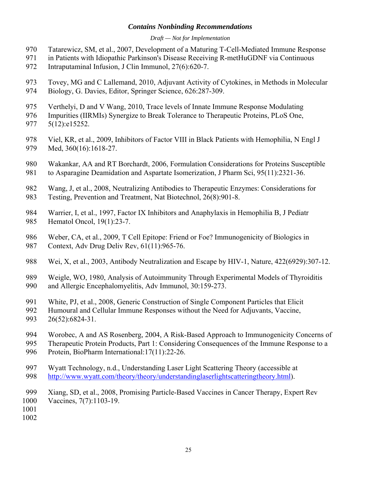- Tatarewicz, SM, et al., 2007, Development of a Maturing T-Cell-Mediated Immune Response 970
- in Patients with Idiopathic Parkinson's Disease Receiving R-metHuGDNF via Continuous 971
- Intraputaminal Infusion, J Clin Immunol, 27(6):620-7. 972
- 973 974 Tovey, MG and C Lallemand, 2010, Adjuvant Activity of Cytokines, in Methods in Molecular Biology, G. Davies, Editor, Springer Science, 626:287-309.
- 975 Verthelyi, D and V Wang, 2010, Trace levels of Innate Immune Response Modulating
- 976 977 Impurities (IIRMIs) Synergize to Break Tolerance to Therapeutic Proteins, PLoS One, 5(12):e15252.
- 978 979 Viel, KR, et al., 2009, Inhibitors of Factor VIII in Black Patients with Hemophilia, N Engl J Med, 360(16):1618-27.
- 980 981 Wakankar, AA and RT Borchardt, 2006, Formulation Considerations for Proteins Susceptible to Asparagine Deamidation and Aspartate Isomerization, J Pharm Sci, 95(11):2321-36.
- 982 Wang, J, et al., 2008, Neutralizing Antibodies to Therapeutic Enzymes: Considerations for
- 983 Testing, Prevention and Treatment, Nat Biotechnol, 26(8):901-8.
- 984 985 Warrier, I, et al., 1997, Factor IX Inhibitors and Anaphylaxis in Hemophilia B, J Pediatr Hematol Oncol, 19(1):23-7.
- 986 987 Weber, CA, et al., 2009, T Cell Epitope: Friend or Foe? Immunogenicity of Biologics in Context, Adv Drug Deliv Rev, 61(11):965-76.
- 988 Wei, X, et al., 2003, Antibody Neutralization and Escape by HIV-1, Nature, 422(6929):307-12.
- 989 990 Weigle, WO, 1980, Analysis of Autoimmunity Through Experimental Models of Thyroiditis and Allergic Encephalomyelitis, Adv Immunol, 30:159-273.
- 991 White, PJ, et al., 2008, Generic Construction of Single Component Particles that Elicit
- 992 993 Humoural and Cellular Immune Responses without the Need for Adjuvants, Vaccine, 26(52):6824-31.
- 994 Worobec, A and AS Rosenberg, 2004, A Risk-Based Approach to Immunogenicity Concerns of
- 995 996 Therapeutic Protein Products, Part 1: Considering Consequences of the Immune Response to a Protein, BioPharm International:17(11):22-26.
- 997 Wyatt Technology, n.d., Understanding Laser Light Scattering Theory (accessible at 998 <http://www.wyatt.com/theory/theory/understandinglaserlightscatteringtheory.html>).
- 999 Xiang, SD, et al., 2008, Promising Particle-Based Vaccines in Cancer Therapy, Expert Rev
- 1000 Vaccines, 7(7):1103-19.
- 1001
- 1002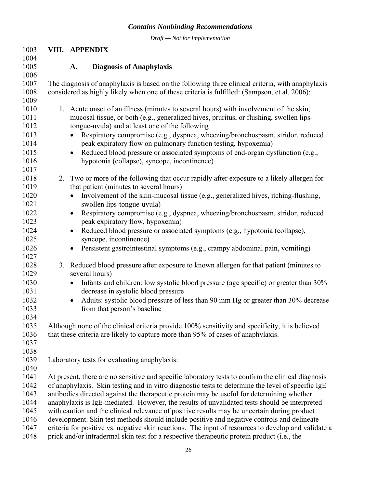<span id="page-27-1"></span><span id="page-27-0"></span>

| 1003         |    |           | VIII. APPENDIX                                                                                                    |
|--------------|----|-----------|-------------------------------------------------------------------------------------------------------------------|
| 1004         |    |           |                                                                                                                   |
| 1005         |    | A.        | <b>Diagnosis of Anaphylaxis</b>                                                                                   |
| 1006<br>1007 |    |           | The diagnosis of anaphylaxis is based on the following three clinical criteria, with anaphylaxis                  |
| 1008         |    |           | considered as highly likely when one of these criteria is fulfilled: (Sampson, et al. 2006):                      |
| 1009         |    |           |                                                                                                                   |
| 1010         |    |           | 1. Acute onset of an illness (minutes to several hours) with involvement of the skin,                             |
| 1011         |    |           | mucosal tissue, or both (e.g., generalized hives, pruritus, or flushing, swollen lips-                            |
| 1012         |    |           | tongue-uvula) and at least one of the following                                                                   |
| 1013         |    | $\bullet$ | Respiratory compromise (e.g., dyspnea, wheezing/bronchospasm, stridor, reduced                                    |
| 1014         |    |           | peak expiratory flow on pulmonary function testing, hypoxemia)                                                    |
| 1015         |    | $\bullet$ | Reduced blood pressure or associated symptoms of end-organ dysfunction (e.g.,                                     |
| 1016         |    |           | hypotonia (collapse), syncope, incontinence)                                                                      |
| 1017         |    |           |                                                                                                                   |
| 1018         |    |           | 2. Two or more of the following that occur rapidly after exposure to a likely allergen for                        |
| 1019         |    |           | that patient (minutes to several hours)                                                                           |
| 1020         |    |           | Involvement of the skin-mucosal tissue (e.g., generalized hives, itching-flushing,                                |
| 1021         |    |           | swollen lips-tongue-uvula)                                                                                        |
| 1022         |    | $\bullet$ | Respiratory compromise (e.g., dyspnea, wheezing/bronchospasm, stridor, reduced                                    |
| 1023         |    |           | peak expiratory flow, hypoxemia)                                                                                  |
| 1024         |    |           | Reduced blood pressure or associated symptoms (e.g., hypotonia (collapse),                                        |
| 1025         |    |           | syncope, incontinence)                                                                                            |
| 1026         |    | $\bullet$ | Persistent gastrointestinal symptoms (e.g., crampy abdominal pain, vomiting)                                      |
| 1027         |    |           |                                                                                                                   |
| 1028         | 3. |           | Reduced blood pressure after exposure to known allergen for that patient (minutes to                              |
| 1029         |    |           | several hours)                                                                                                    |
| 1030         |    | $\bullet$ | Infants and children: low systolic blood pressure (age specific) or greater than 30%                              |
| 1031         |    |           | decrease in systolic blood pressure                                                                               |
| 1032<br>1033 |    | $\bullet$ | Adults: systolic blood pressure of less than 90 mm Hg or greater than 30% decrease<br>from that person's baseline |
| 1034         |    |           |                                                                                                                   |
| 1035         |    |           | Although none of the clinical criteria provide 100% sensitivity and specificity, it is believed                   |
| 1036         |    |           | that these criteria are likely to capture more than 95% of cases of anaphylaxis.                                  |
| 1037         |    |           |                                                                                                                   |
| 1038         |    |           |                                                                                                                   |
| 1039         |    |           | Laboratory tests for evaluating anaphylaxis:                                                                      |
| 1040         |    |           |                                                                                                                   |
| 1041         |    |           | At present, there are no sensitive and specific laboratory tests to confirm the clinical diagnosis                |
| 1042         |    |           | of anaphylaxis. Skin testing and in vitro diagnostic tests to determine the level of specific IgE                 |
| 1043         |    |           | antibodies directed against the therapeutic protein may be useful for determining whether                         |
| 1044         |    |           | anaphylaxis is IgE-mediated. However, the results of unvalidated tests should be interpreted                      |
| 1045         |    |           | with caution and the clinical relevance of positive results may be uncertain during product                       |
| 1046         |    |           | development. Skin test methods should include positive and negative controls and delineate                        |
| 1047         |    |           | criteria for positive vs. negative skin reactions. The input of resources to develop and validate a               |
| 1048         |    |           | prick and/or intradermal skin test for a respective therapeutic protein product (i.e., the                        |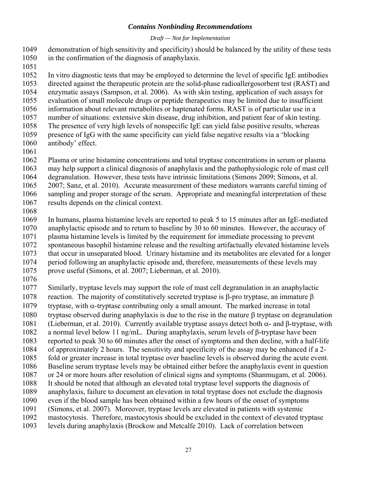### *Draft — Not for Implementation*

- demonstration of high sensitivity and specificity) should be balanced by the utility of these tests in the confirmation of the diagnosis of anaphylaxis. 1049 1050
- 1051
- 1052 In vitro diagnostic tests that may be employed to determine the level of specific IgE antibodies
- 1053 directed against the therapeutic protein are the solid-phase radioallergosorbent test (RAST) and
- 1054 1055 enzymatic assays (Sampson, et al. 2006). As with skin testing, application of such assays for
- 1056 evaluation of small molecule drugs or peptide therapeutics may be limited due to insufficient information about relevant metabolites or haptenated forms. RAST is of particular use in a
- 1057 number of situations: extensive skin disease, drug inhibition, and patient fear of skin testing.
- 1058 The presence of very high levels of nonspecific IgE can yield false positive results, whereas
- 1059 presence of IgG with the same specificity can yield false negative results via a 'blocking
- 1060 antibody' effect.
- 1061
- 1062 Plasma or urine histamine concentrations and total tryptase concentrations in serum or plasma
- 1063 may help support a clinical diagnosis of anaphylaxis and the pathophysiologic role of mast cell
- 1064 degranulation. However, these tests have intrinsic limitations (Simons 2009; Simons, et al.
- 1065 2007; Sanz, et al. 2010). Accurate measurement of these mediators warrants careful timing of
- 1066 sampling and proper storage of the serum. Appropriate and meaningful interpretation of these
- 1067 results depends on the clinical context.
- 1068
- 1069 1070 In humans, plasma histamine levels are reported to peak 5 to 15 minutes after an IgE-mediated anaphylactic episode and to return to baseline by 30 to 60 minutes. However, the accuracy of
- 1071 plasma histamine levels is limited by the requirement for immediate processing to prevent
- 1072 spontaneous basophil histamine release and the resulting artifactually elevated histamine levels
- 1073 that occur in unseparated blood. Urinary histamine and its metabolites are elevated for a longer
- 1074 period following an anaphylactic episode and, therefore, measurements of these levels may
- 1075 prove useful (Simons, et al. 2007; Lieberman, et al. 2010).
- 1076

1077 Similarly, tryptase levels may support the role of mast cell degranulation in an anaphylactic

- 1078 1079 reaction. The majority of constitutively secreted tryptase is  $\beta$ -pro tryptase, an immature  $\beta$ tryptase, with  $\alpha$ -tryptase contributing only a small amount. The marked increase in total
- 1080 tryptase observed during anaphylaxis is due to the rise in the mature  $\beta$  tryptase on degranulation
- 1081 (Lieberman, et al. 2010). Currently available tryptase assays detect both  $\alpha$ - and β-tryptase, with
- 1082 a normal level below 11 ng/mL. During anaphylaxis, serum levels of β-tryptase have been
- 1083 reported to peak 30 to 60 minutes after the onset of symptoms and then decline, with a half-life
- 1084 of approximately 2 hours. The sensitivity and specificity of the assay may be enhanced if a 2-
- 1085 fold or greater increase in total tryptase over baseline levels is observed during the acute event.
- 1086 Baseline serum tryptase levels may be obtained either before the anaphylaxis event in question
- 1087 or 24 or more hours after resolution of clinical signs and symptoms (Shanmugam, et al. 2006).
- 1088 1089 It should be noted that although an elevated total tryptase level supports the diagnosis of anaphylaxis, failure to document an elevation in total tryptase does not exclude the diagnosis
- 1090 even if the blood sample has been obtained within a few hours of the onset of symptoms
- 1091 (Simons, et al. 2007). Moreover, tryptase levels are elevated in patients with systemic
- 1092 mastocytosis. Therefore, mastocytosis should be excluded in the context of elevated tryptase
- 1093 levels during anaphylaxis (Brockow and Metcalfe 2010). Lack of correlation between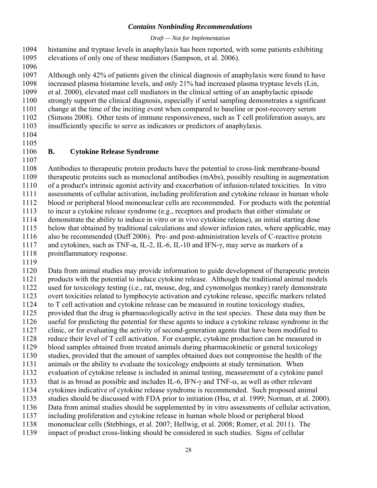### *Draft — Not for Implementation*

histamine and tryptase levels in anaphylaxis has been reported, with some patients exhibiting elevations of only one of these mediators (Sampson, et al. 2006). 1094 1095

1096

1097 Although only 42% of patients given the clinical diagnosis of anaphylaxis were found to have

1098 increased plasma histamine levels, and only 21% had increased plasma tryptase levels (Lin,

1099 et al. 2000), elevated mast cell mediators in the clinical setting of an anaphylactic episode

1100 strongly support the clinical diagnosis, especially if serial sampling demonstrates a significant

1101 1102 change at the time of the inciting event when compared to baseline or post-recovery serum (Simons 2008). Other tests of immune responsiveness, such as T cell proliferation assays, are

1103 insufficiently specific to serve as indicators or predictors of anaphylaxis.

1104

1105

#### <span id="page-29-0"></span>1106 **B. Cytokine Release Syndrome**

1107

1108 1109 1110 1111 1112 1113 1114 1115 1116 1117 1118 Antibodies to therapeutic protein products have the potential to cross-link membrane-bound therapeutic proteins such as monoclonal antibodies (mAbs), possibly resulting in augmentation of a product's intrinsic agonist activity and exacerbation of infusion-related toxicities. In vitro assessments of cellular activation, including proliferation and cytokine release in human whole blood or peripheral blood mononuclear cells are recommended. For products with the potential to incur a cytokine release syndrome (e.g., receptors and products that either stimulate or demonstrate the ability to induce in vitro or in vivo cytokine release), an initial starting dose below that obtained by traditional calculations and slower infusion rates, where applicable, may also be recommended (Duff 2006). Pre- and post-administration levels of C-reactive protein and cytokines, such as TNF- $\alpha$ , IL-2, IL-6, IL-10 and IFN- $\gamma$ , may serve as markers of a proinflammatory response.

1119

1120 1121 1122 1123 1124 1125 1126 1127 1128 1129 1130 1131 1132 1133 1134 1135 1136 1137 1138 1139 Data from animal studies may provide information to guide development of therapeutic protein products with the potential to induce cytokine release. Although the traditional animal models used for toxicology testing (i.e., rat, mouse, dog, and cynomolgus monkey) rarely demonstrate overt toxicities related to lymphocyte activation and cytokine release, specific markers related to T cell activation and cytokine release can be measured in routine toxicology studies, provided that the drug is pharmacologically active in the test species. These data may then be useful for predicting the potential for these agents to induce a cytokine release syndrome in the clinic, or for evaluating the activity of second-generation agents that have been modified to reduce their level of T cell activation. For example, cytokine production can be measured in blood samples obtained from treated animals during pharmacokinetic or general toxicology studies, provided that the amount of samples obtained does not compromise the health of the animals or the ability to evaluate the toxicology endpoints at study termination. When evaluation of cytokine release is included in animal testing, measurement of a cytokine panel that is as broad as possible and includes IL-6, IFN- $\gamma$  and TNF- $\alpha$ , as well as other relevant cytokines indicative of cytokine release syndrome is recommended. Such proposed animal studies should be discussed with FDA prior to initiation (Hsu, et al. 1999; Norman, et al. 2000). Data from animal studies should be supplemented by in vitro assessments of cellular activation, including proliferation and cytokine release in human whole blood or peripheral blood mononuclear cells (Stebbings, et al. 2007; Hellwig, et al. 2008; Romer, et al. 2011). The impact of product cross-linking should be considered in such studies. Signs of cellular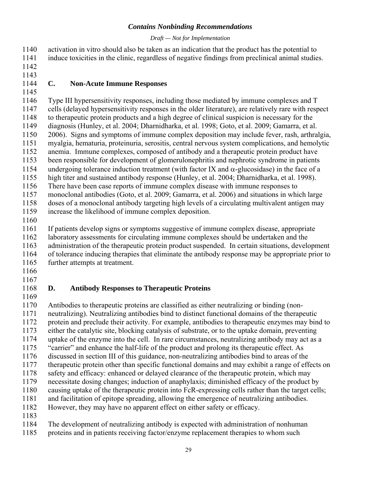- <span id="page-30-1"></span><span id="page-30-0"></span>activation in vitro should also be taken as an indication that the product has the potential to induce toxicities in the clinic, regardless of negative findings from preclinical animal studies. 1140 1141 1142 1143 1144 1145 1146 1147 1148 1149 1150 1151 1152 1153 1154 1155 1156 1157 1158 1159 1160 1161 1162 1163 1164 1165 1166 1167 1168 1169 1170 1171 1172 1173 1174 1175 1176 1177 1178 1179 1180 1181 1182 1183 1184 **C. Non-Acute Immune Responses**  Type III hypersensitivity responses, including those mediated by immune complexes and T cells (delayed hypersensitivity responses in the older literature), are relatively rare with respect to therapeutic protein products and a high degree of clinical suspicion is necessary for the diagnosis (Hunley, et al. 2004; Dharnidharka, et al. 1998; Goto, et al. 2009; Gamarra, et al. 2006). Signs and symptoms of immune complex deposition may include fever, rash, arthralgia, myalgia, hematuria, proteinuria, serositis, central nervous system complications, and hemolytic anemia. Immune complexes, composed of antibody and a therapeutic protein product have been responsible for development of glomerulonephritis and nephrotic syndrome in patients undergoing tolerance induction treatment (with factor IX and  $\alpha$ -glucosidase) in the face of a high titer and sustained antibody response (Hunley, et al. 2004; Dharnidharka, et al. 1998). There have been case reports of immune complex disease with immune responses to monoclonal antibodies (Goto, et al. 2009; Gamarra, et al. 2006) and situations in which large doses of a monoclonal antibody targeting high levels of a circulating multivalent antigen may increase the likelihood of immune complex deposition. If patients develop signs or symptoms suggestive of immune complex disease, appropriate laboratory assessments for circulating immune complexes should be undertaken and the administration of the therapeutic protein product suspended. In certain situations, development of tolerance inducing therapies that eliminate the antibody response may be appropriate prior to further attempts at treatment. **D. Antibody Responses to Therapeutic Proteins**  Antibodies to therapeutic proteins are classified as either neutralizing or binding (nonneutralizing). Neutralizing antibodies bind to distinct functional domains of the therapeutic protein and preclude their activity. For example, antibodies to therapeutic enzymes may bind to either the catalytic site, blocking catalysis of substrate, or to the uptake domain, preventing uptake of the enzyme into the cell. In rare circumstances, neutralizing antibody may act as a "carrier" and enhance the half-life of the product and prolong its therapeutic effect. As discussed in section III of this guidance, non-neutralizing antibodies bind to areas of the therapeutic protein other than specific functional domains and may exhibit a range of effects on safety and efficacy: enhanced or delayed clearance of the therapeutic protein, which may necessitate dosing changes; induction of anaphylaxis; diminished efficacy of the product by causing uptake of the therapeutic protein into FcR-expressing cells rather than the target cells; and facilitation of epitope spreading, allowing the emergence of neutralizing antibodies. However, they may have no apparent effect on either safety or efficacy. The development of neutralizing antibody is expected with administration of nonhuman
	- 1185 proteins and in patients receiving factor/enzyme replacement therapies to whom such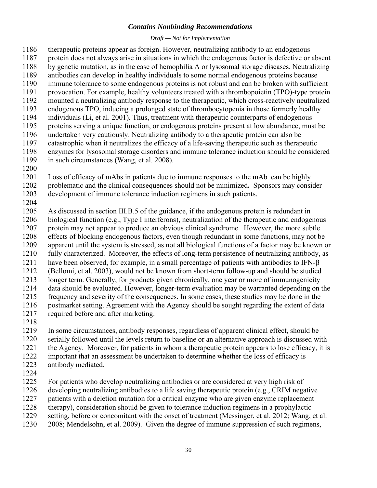### *Draft — Not for Implementation*

therapeutic proteins appear as foreign. However, neutralizing antibody to an endogenous protein does not always arise in situations in which the endogenous factor is defective or absent by genetic mutation, as in the case of hemophilia A or lysosomal storage diseases. Neutralizing antibodies can develop in healthy individuals to some normal endogenous proteins because immune tolerance to some endogenous proteins is not robust and can be broken with sufficient provocation. For example, healthy volunteers treated with a thrombopoietin (TPO)-type protein mounted a neutralizing antibody response to the therapeutic, which cross-reactively neutralized endogenous TPO, inducing a prolonged state of thrombocytopenia in those formerly healthy individuals (Li, et al. 2001). Thus, treatment with therapeutic counterparts of endogenous proteins serving a unique function, or endogenous proteins present at low abundance, must be undertaken very cautiously. Neutralizing antibody to a therapeutic protein can also be catastrophic when it neutralizes the efficacy of a life-saving therapeutic such as therapeutic enzymes for lysosomal storage disorders and immune tolerance induction should be considered in such circumstances (Wang, et al. 2008). 1186 1187 1188 1189 1190 1191 1192 1193 1194 1195 1196 1197 1198 1199

1200

1201 Loss of efficacy of mAbs in patients due to immune responses to the mAb can be highly

1202 problematic and the clinical consequences should not be minimized*.* Sponsors may consider

1203 development of immune tolerance induction regimens in such patients.

1204

1205 1206 1207 1208 1209 1210 1211 1212 1213 1214 1215 1216 As discussed in section III.B.5 of the guidance, if the endogenous protein is redundant in biological function (e.g., Type I interferons), neutralization of the therapeutic and endogenous protein may not appear to produce an obvious clinical syndrome. However, the more subtle effects of blocking endogenous factors, even though redundant in some functions, may not be apparent until the system is stressed, as not all biological functions of a factor may be known or fully characterized. Moreover, the effects of long-term persistence of neutralizing antibody, as have been observed, for example, in a small percentage of patients with antibodies to IFN- $\beta$ (Bellomi, et al. 2003), would not be known from short-term follow-up and should be studied longer term. Generally, for products given chronically, one year or more of immunogenicity data should be evaluated. However, longer-term evaluation may be warranted depending on the frequency and severity of the consequences. In some cases, these studies may be done in the postmarket setting. Agreement with the Agency should be sought regarding the extent of data

- 1217 required before and after marketing.
- 1218

1219 1220 1221 1222 In some circumstances, antibody responses, regardless of apparent clinical effect, should be serially followed until the levels return to baseline or an alternative approach is discussed with the Agency. Moreover, for patients in whom a therapeutic protein appears to lose efficacy, it is important that an assessment be undertaken to determine whether the loss of efficacy is

- 1223 antibody mediated.
- 1224

1225 For patients who develop neutralizing antibodies or are considered at very high risk of

1226 developing neutralizing antibodies to a life saving therapeutic protein (e.g., CRIM negative

1227 patients with a deletion mutation for a critical enzyme who are given enzyme replacement

1228 therapy), consideration should be given to tolerance induction regimens in a prophylactic

- 1229 setting, before or concomitant with the onset of treatment (Messinger, et al. 2012; Wang, et al.
- 1230 2008; Mendelsohn, et al. 2009). Given the degree of immune suppression of such regimens,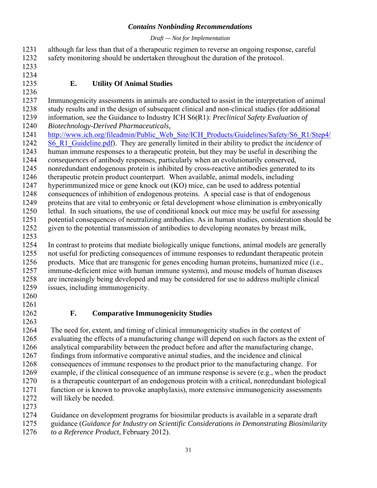*Draft — Not for Implementation* 

- <span id="page-32-0"></span>although far less than that of a therapeutic regimen to reverse an ongoing response, careful safety monitoring should be undertaken throughout the duration of the protocol. 1231 1232 1233 1234 1235 1236 1237 1238 1239 1240 **E. Utility Of Animal Studies**  Immunogenicity assessments in animals are conducted to assist in the interpretation of animal study results and in the design of subsequent clinical and non-clinical studies (for additional information, see the Guidance to Industry ICH S6(R1): *Preclinical Safety Evaluation of Biotechnology-Derived Pharmaceuticals*, 1241 [http://www.ich.org/fileadmin/Public\\_Web\\_Site/ICH\\_Products/Guidelines/Safety/S6\\_R1/Step4/](http://www.ich.org/fileadmin/Public_Web_Site/ICH_Products/Guidelines/Safety/S6_R1/Step4/S6_R1_Guideline.pdf) [S6\\_R1\\_Guideline.pdf](http://www.ich.org/fileadmin/Public_Web_Site/ICH_Products/Guidelines/Safety/S6_R1/Step4/S6_R1_Guideline.pdf)). They are generally limited in their ability to predict the *incidence* of human immune responses to a therapeutic protein, but they may be useful in describing the *consequences* of antibody responses, particularly when an evolutionarily conserved, nonredundant endogenous protein is inhibited by cross-reactive antibodies generated to its therapeutic protein product counterpart. When available, animal models, including hyperimmunized mice or gene knock out (KO) mice, can be used to address potential consequences of inhibition of endogenous proteins. A special case is that of endogenous proteins that are vital to embryonic or fetal development whose elimination is embryonically lethal. In such situations, the use of conditional knock out mice may be useful for assessing potential consequences of neutralizing antibodies. As in human studies, consideration should be given to the potential transmission of antibodies to developing neonates by breast milk, 1242 1243 1244 1245 1246 1247 1248 1249 1250 1251 1252 1253 1254 1255 1256 1257 1258 1259 1260 1261 1262 1263 1264 1265 1266 1267 1268 1269 In contrast to proteins that mediate biologically unique functions, animal models are generally not useful for predicting consequences of immune responses to redundant therapeutic protein products. Mice that are transgenic for genes encoding human proteins, humanized mice (i.e., immune-deficient mice with human immune systems), and mouse models of human diseases are increasingly being developed and may be considered for use to address multiple clinical issues, including immunogenicity. **F. Comparative Immunogenicity Studies**  The need for, extent, and timing of clinical immunogenicity studies in the context of evaluating the effects of a manufacturing change will depend on such factors as the extent of analytical comparability between the product before and after the manufacturing change, findings from informative comparative animal studies, and the incidence and clinical consequences of immune responses to the product prior to the manufacturing change. For example, if the clinical consequence of an immune response is severe (e.g., when the product
- <span id="page-32-1"></span>1270 1271 1272 is a therapeutic counterpart of an endogenous protein with a critical, nonredundant biological function or is known to provoke anaphylaxis), more extensive immunogenicity assessments will likely be needed.
- 1273

1274 1275 Guidance on development programs for biosimilar products is available in a separate draft guidance (*Guidance for Industry on Scientific Considerations in Demonstrating Biosimilarity* 

1276 *to a Reference Product*, February 2012).